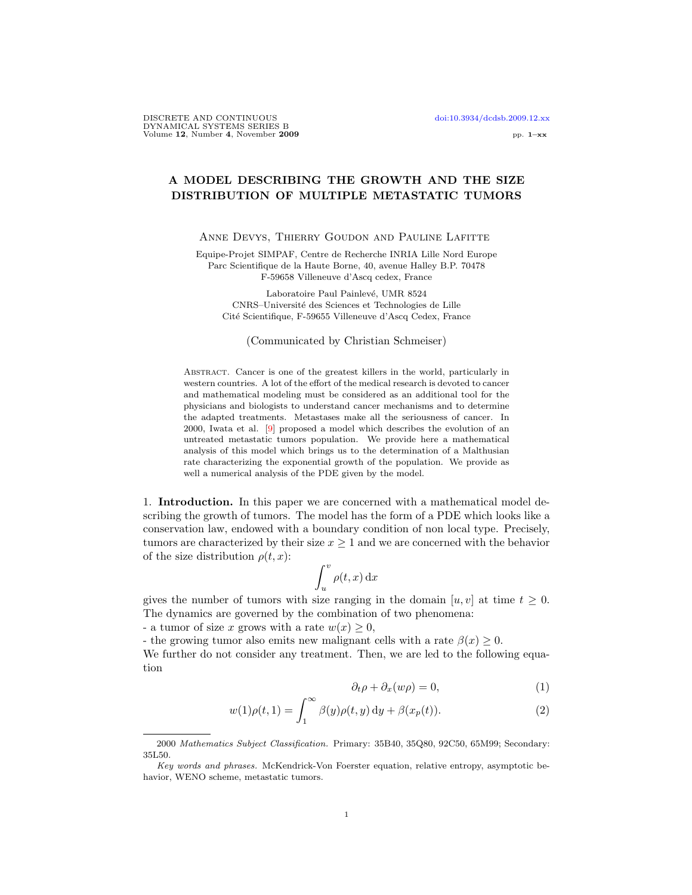# A MODEL DESCRIBING THE GROWTH AND THE SIZE DISTRIBUTION OF MULTIPLE METASTATIC TUMORS

### ANNE DEVYS, THIERRY GOUDON AND PAULINE LAFITTE

Equipe-Projet SIMPAF, Centre de Recherche INRIA Lille Nord Europe Parc Scientifique de la Haute Borne, 40, avenue Halley B.P. 70478 F-59658 Villeneuve d'Ascq cedex, France

Laboratoire Paul Painlevé, UMR 8524 CNRS–Universit´e des Sciences et Technologies de Lille Cité Scientifique, F-59655 Villeneuve d'Ascq Cedex, France

## (Communicated by Christian Schmeiser)

Abstract. Cancer is one of the greatest killers in the world, particularly in western countries. A lot of the effort of the medical research is devoted to cancer and mathematical modeling must be considered as an additional tool for the physicians and biologists to understand cancer mechanisms and to determine the adapted treatments. Metastases make all the seriousness of cancer. In 2000, Iwata et al. [\[9\]](#page-36-0) proposed a model which describes the evolution of an untreated metastatic tumors population. We provide here a mathematical analysis of this model which brings us to the determination of a Malthusian rate characterizing the exponential growth of the population. We provide as well a numerical analysis of the PDE given by the model.

1. Introduction. In this paper we are concerned with a mathematical model describing the growth of tumors. The model has the form of a PDE which looks like a conservation law, endowed with a boundary condition of non local type. Precisely, tumors are characterized by their size  $x \geq 1$  and we are concerned with the behavior of the size distribution  $\rho(t, x)$ :

$$
\int_u^v \rho(t,x) \,\mathrm{d} x
$$

gives the number of tumors with size ranging in the domain  $[u, v]$  at time  $t \geq 0$ . The dynamics are governed by the combination of two phenomena:

- a tumor of size x grows with a rate  $w(x) \geq 0$ ,

- the growing tumor also emits new malignant cells with a rate  $\beta(x) \geq 0$ .

We further do not consider any treatment. Then, we are led to the following equation

<span id="page-0-0"></span>
$$
\partial_t \rho + \partial_x (w\rho) = 0,\tag{1}
$$

$$
w(1)\rho(t,1) = \int_1^\infty \beta(y)\rho(t,y) \,dy + \beta(x_p(t)).\tag{2}
$$

<sup>2000</sup> Mathematics Subject Classification. Primary: 35B40, 35Q80, 92C50, 65M99; Secondary: 35L50.

Key words and phrases. McKendrick-Von Foerster equation, relative entropy, asymptotic behavior, WENO scheme, metastatic tumors.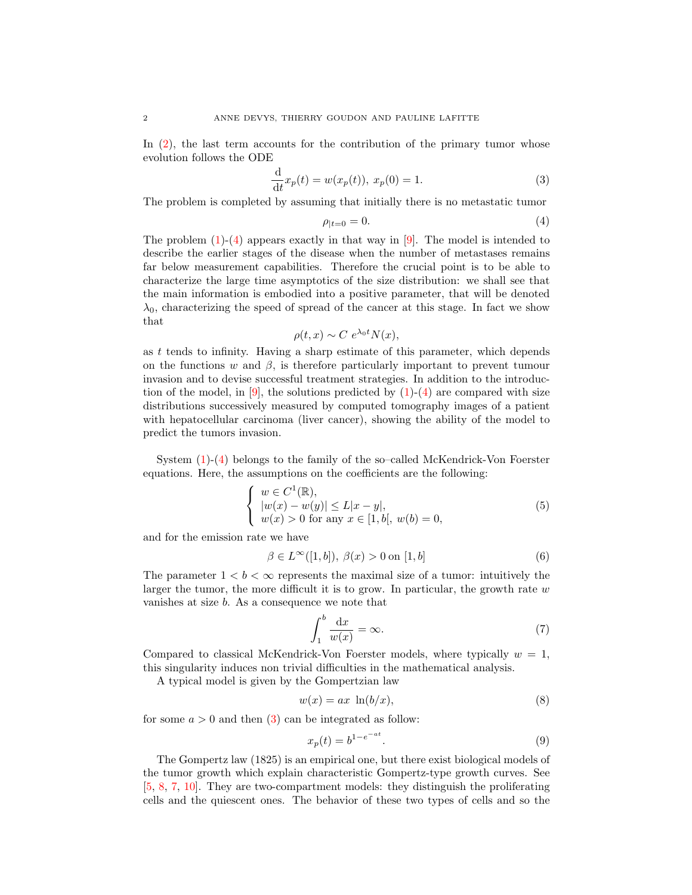In [\(2\)](#page-0-0), the last term accounts for the contribution of the primary tumor whose evolution follows the ODE

<span id="page-1-1"></span>
$$
\frac{\mathrm{d}}{\mathrm{d}t}x_p(t) = w(x_p(t)), \ x_p(0) = 1. \tag{3}
$$

The problem is completed by assuming that initially there is no metastatic tumor

<span id="page-1-0"></span>
$$
\rho_{|t=0} = 0.\tag{4}
$$

The problem  $(1)-(4)$  $(1)-(4)$  $(1)-(4)$  appears exactly in that way in [\[9\]](#page-36-0). The model is intended to describe the earlier stages of the disease when the number of metastases remains far below measurement capabilities. Therefore the crucial point is to be able to characterize the large time asymptotics of the size distribution: we shall see that the main information is embodied into a positive parameter, that will be denoted  $\lambda_0$ , characterizing the speed of spread of the cancer at this stage. In fact we show that

$$
\rho(t, x) \sim C \ e^{\lambda_0 t} N(x),
$$

as t tends to infinity. Having a sharp estimate of this parameter, which depends on the functions w and  $\beta$ , is therefore particularly important to prevent tumour invasion and to devise successful treatment strategies. In addition to the introduction of the model, in  $[9]$ , the solutions predicted by  $(1)-(4)$  $(1)-(4)$  $(1)-(4)$  are compared with size distributions successively measured by computed tomography images of a patient with hepatocellular carcinoma (liver cancer), showing the ability of the model to predict the tumors invasion.

System [\(1\)](#page-0-0)-[\(4\)](#page-1-0) belongs to the family of the so–called McKendrick-Von Foerster equations. Here, the assumptions on the coefficients are the following:

<span id="page-1-3"></span>
$$
\begin{cases}\nw \in C^1(\mathbb{R}), \\
|w(x) - w(y)| \le L|x - y|, \\
w(x) > 0 \text{ for any } x \in [1, b], \ w(b) = 0,\n\end{cases}
$$
\n(5)

and for the emission rate we have

<span id="page-1-4"></span>
$$
\beta \in L^{\infty}([1, b]), \ \beta(x) > 0 \text{ on } [1, b]
$$
 (6)

The parameter  $1 < b < \infty$  represents the maximal size of a tumor: intuitively the larger the tumor, the more difficult it is to grow. In particular, the growth rate  $w$ vanishes at size b. As a consequence we note that

<span id="page-1-2"></span>
$$
\int_{1}^{b} \frac{\mathrm{d}x}{w(x)} = \infty. \tag{7}
$$

Compared to classical McKendrick-Von Foerster models, where typically  $w = 1$ , this singularity induces non trivial difficulties in the mathematical analysis.

A typical model is given by the Gompertzian law

<span id="page-1-5"></span>
$$
w(x) = ax \ln(b/x), \tag{8}
$$

for some  $a > 0$  and then  $(3)$  can be integrated as follow:

<span id="page-1-6"></span>
$$
x_p(t) = b^{1 - e^{-at}}.
$$
\n(9)

The Gompertz law (1825) is an empirical one, but there exist biological models of the tumor growth which explain characteristic Gompertz-type growth curves. See [\[5,](#page-35-0) [8,](#page-35-1) [7,](#page-35-2) [10\]](#page-36-1). They are two-compartment models: they distinguish the proliferating cells and the quiescent ones. The behavior of these two types of cells and so the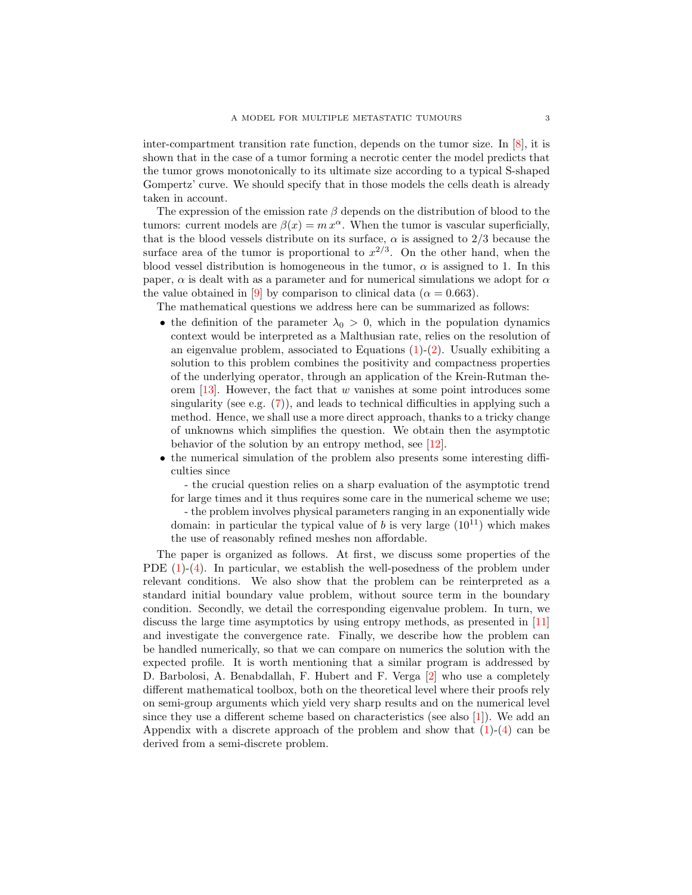inter-compartment transition rate function, depends on the tumor size. In [\[8\]](#page-35-1), it is shown that in the case of a tumor forming a necrotic center the model predicts that the tumor grows monotonically to its ultimate size according to a typical S-shaped Gompertz' curve. We should specify that in those models the cells death is already taken in account.

The expression of the emission rate  $\beta$  depends on the distribution of blood to the tumors: current models are  $\beta(x) = m x^{\alpha}$ . When the tumor is vascular superficially, that is the blood vessels distribute on its surface,  $\alpha$  is assigned to 2/3 because the surface area of the tumor is proportional to  $x^{2/3}$ . On the other hand, when the blood vessel distribution is homogeneous in the tumor,  $\alpha$  is assigned to 1. In this paper,  $\alpha$  is dealt with as a parameter and for numerical simulations we adopt for  $\alpha$ the value obtained in [\[9\]](#page-36-0) by comparison to clinical data ( $\alpha = 0.663$ ).

The mathematical questions we address here can be summarized as follows:

- the definition of the parameter  $\lambda_0 > 0$ , which in the population dynamics context would be interpreted as a Malthusian rate, relies on the resolution of an eigenvalue problem, associated to Equations  $(1)-(2)$  $(1)-(2)$  $(1)-(2)$ . Usually exhibiting a solution to this problem combines the positivity and compactness properties of the underlying operator, through an application of the Krein-Rutman theorem  $[13]$ . However, the fact that w vanishes at some point introduces some singularity (see e.g.  $(7)$ ), and leads to technical difficulties in applying such a method. Hence, we shall use a more direct approach, thanks to a tricky change of unknowns which simplifies the question. We obtain then the asymptotic behavior of the solution by an entropy method, see [\[12\]](#page-36-3).
- the numerical simulation of the problem also presents some interesting difficulties since

- the crucial question relies on a sharp evaluation of the asymptotic trend for large times and it thus requires some care in the numerical scheme we use; - the problem involves physical parameters ranging in an exponentially wide domain: in particular the typical value of b is very large  $(10^{11})$  which makes the use of reasonably refined meshes non affordable.

The paper is organized as follows. At first, we discuss some properties of the PDE [\(1\)](#page-0-0)-[\(4\)](#page-1-0). In particular, we establish the well-posedness of the problem under relevant conditions. We also show that the problem can be reinterpreted as a standard initial boundary value problem, without source term in the boundary condition. Secondly, we detail the corresponding eigenvalue problem. In turn, we discuss the large time asymptotics by using entropy methods, as presented in [\[11\]](#page-36-4) and investigate the convergence rate. Finally, we describe how the problem can be handled numerically, so that we can compare on numerics the solution with the expected profile. It is worth mentioning that a similar program is addressed by D. Barbolosi, A. Benabdallah, F. Hubert and F. Verga [\[2\]](#page-35-3) who use a completely different mathematical toolbox, both on the theoretical level where their proofs rely on semi-group arguments which yield very sharp results and on the numerical level since they use a different scheme based on characteristics (see also [\[1\]](#page-35-4)). We add an Appendix with a discrete approach of the problem and show that  $(1)-(4)$  $(1)-(4)$  $(1)-(4)$  can be derived from a semi-discrete problem.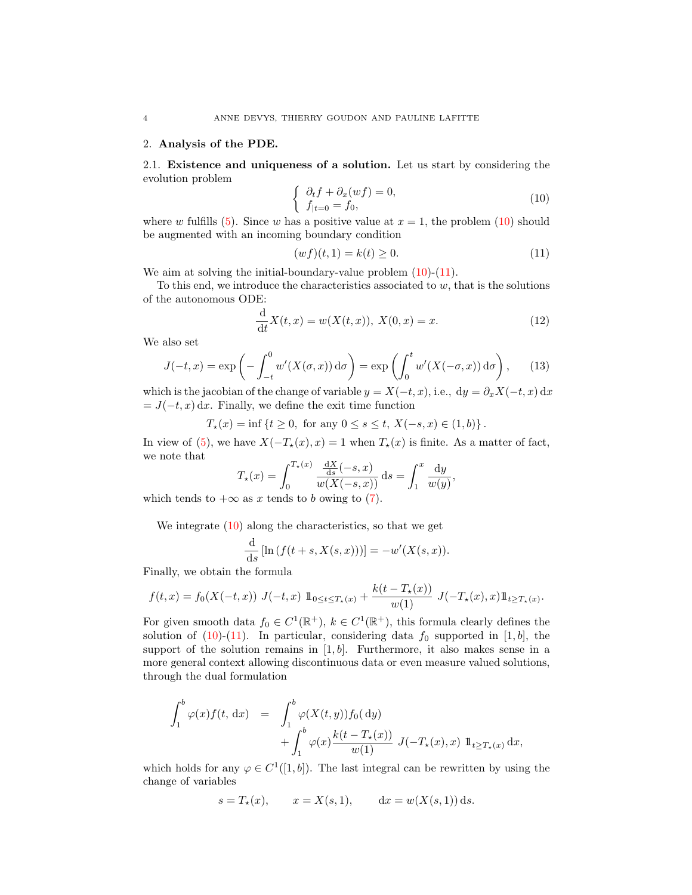## 2. Analysis of the PDE.

2.1. Existence and uniqueness of a solution. Let us start by considering the evolution problem

<span id="page-3-0"></span>
$$
\begin{cases} \partial_t f + \partial_x (wf) = 0, \\ f_{|t=0} = f_0, \end{cases}
$$
\n(10)

where w fulfills [\(5\)](#page-1-3). Since w has a positive value at  $x = 1$ , the problem [\(10\)](#page-3-0) should be augmented with an incoming boundary condition

<span id="page-3-1"></span>
$$
(wf)(t,1) = k(t) \ge 0.
$$
\n(11)

We aim at solving the initial-boundary-value problem  $(10)-(11)$  $(10)-(11)$  $(10)-(11)$ .

To this end, we introduce the characteristics associated to  $w$ , that is the solutions of the autonomous ODE:

<span id="page-3-2"></span>
$$
\frac{d}{dt}X(t,x) = w(X(t,x)), X(0,x) = x.
$$
 (12)

We also set

<span id="page-3-3"></span>
$$
J(-t,x) = \exp\left(-\int_{-t}^{0} w'(X(\sigma,x)) d\sigma\right) = \exp\left(\int_{0}^{t} w'(X(-\sigma,x)) d\sigma\right), \quad (13)
$$

which is the jacobian of the change of variable  $y = X(-t, x)$ , i.e.,  $dy = \partial_x X(-t, x) dx$  $= J(-t, x) dx$ . Finally, we define the exit time function

$$
T_{\star}(x) = \inf \{ t \ge 0, \text{ for any } 0 \le s \le t, X(-s, x) \in (1, b) \}.
$$

In view of [\(5\)](#page-1-3), we have  $X(-T_*(x), x) = 1$  when  $T_*(x)$  is finite. As a matter of fact, we note that

$$
T_{\star}(x) = \int_0^{T_{\star}(x)} \frac{\frac{dX}{ds}(-s, x)}{w(X(-s, x))} ds = \int_1^x \frac{dy}{w(y)},
$$

which tends to  $+\infty$  as x tends to b owing to [\(7\)](#page-1-2).

We integrate [\(10\)](#page-3-0) along the characteristics, so that we get

$$
\frac{\mathrm{d}}{\mathrm{d}s} \left[ \ln \left( f(t+s, X(s,x)) \right) \right] = -w'(X(s,x)).
$$

Finally, we obtain the formula

$$
f(t,x) = f_0(X(-t,x)) J(-t,x) 1 \mathbb{1}_{0 \le t \le T_*(x)} + \frac{k(t - T_*(x))}{w(1)} J(-T_*(x),x) 1 \mathbb{1}_{t \ge T_*(x)}.
$$

For given smooth data  $f_0 \in C^1(\mathbb{R}^+), k \in C^1(\mathbb{R}^+)$ , this formula clearly defines the solution of  $(10)-(11)$  $(10)-(11)$  $(10)-(11)$ . In particular, considering data  $f_0$  supported in [1, b], the support of the solution remains in  $[1, b]$ . Furthermore, it also makes sense in a more general context allowing discontinuous data or even measure valued solutions, through the dual formulation

$$
\int_{1}^{b} \varphi(x) f(t, dx) = \int_{1}^{b} \varphi(X(t, y)) f_{0}( dy) \n+ \int_{1}^{b} \varphi(x) \frac{k(t - T_{\star}(x))}{w(1)} J(-T_{\star}(x), x) 1 \! 1_{t \geq T_{\star}(x)} dx,
$$

which holds for any  $\varphi \in C^1([1, b])$ . The last integral can be rewritten by using the change of variables

$$
s = T_*(x)
$$
,  $x = X(s, 1)$ ,  $dx = w(X(s, 1)) ds$ .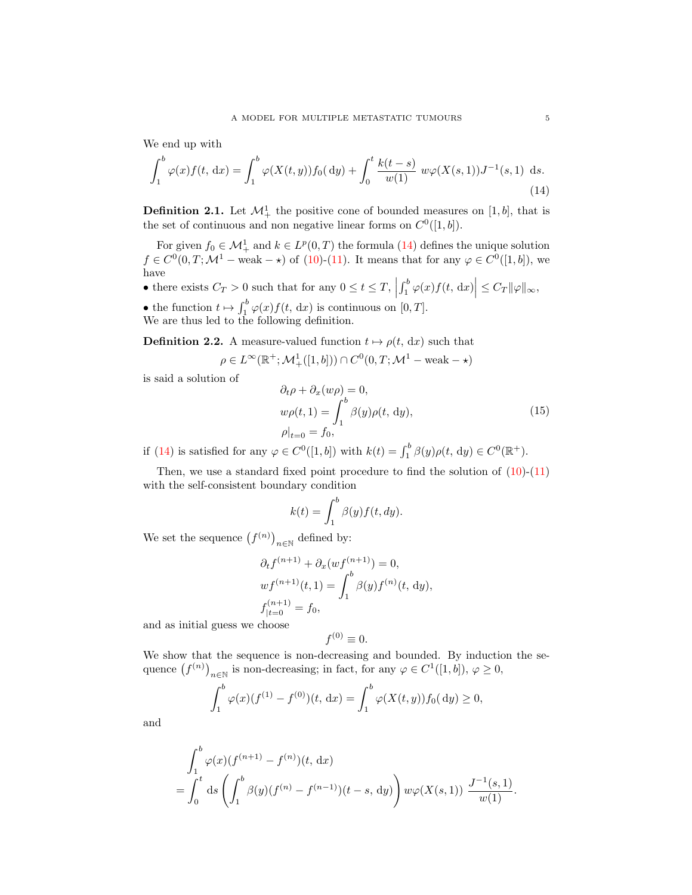We end up with

<span id="page-4-0"></span>
$$
\int_{1}^{b} \varphi(x) f(t, dx) = \int_{1}^{b} \varphi(X(t, y)) f_0(dy) + \int_{0}^{t} \frac{k(t - s)}{w(1)} w \varphi(X(s, 1)) J^{-1}(s, 1) ds.
$$
\n(14)

**Definition 2.1.** Let  $\mathcal{M}^1_+$  the positive cone of bounded measures on [1, b], that is the set of continuous and non negative linear forms on  $C^0([1, b])$ .

For given  $f_0 \in \mathcal{M}^1_+$  and  $k \in L^p(0,T)$  the formula [\(14\)](#page-4-0) defines the unique solution  $f \in C^{0}(0,T; \mathcal{M}^{1}$  – weak –  $\star)$  of [\(10\)](#page-3-0)-[\(11\)](#page-3-1). It means that for any  $\varphi \in C^{0}([1, b])$ , we have

• there exists  $C_T > 0$  such that for any  $0 \le t \le T$ ,  $\left| \int_1^b \varphi(x) f(t, \, \mathrm{d}x) \right| \leq C_T ||\varphi||_{\infty},$ 

• the function  $t \mapsto \int_1^b \varphi(x) f(t, dx)$  is continuous on  $[0, T]$ . We are thus led to the following definition.

<span id="page-4-1"></span>**Definition 2.2.** A measure-valued function  $t \mapsto \rho(t, dx)$  such that

$$
\rho \in L^{\infty}(\mathbb{R}^+;\mathcal{M}_+^1([1,b])) \cap C^0(0,T;\mathcal{M}^1-\text{weak}-\star)
$$

is said a solution of

<span id="page-4-2"></span>
$$
\partial_t \rho + \partial_x (w\rho) = 0,
$$
  
\n
$$
w\rho(t, 1) = \int_1^b \beta(y)\rho(t, dy),
$$
  
\n
$$
\rho|_{t=0} = f_0,
$$
\n(15)

if [\(14\)](#page-4-0) is satisfied for any  $\varphi \in C^0([1, b])$  with  $k(t) = \int_1^b \beta(y)\rho(t, dy) \in C^0(\mathbb{R}^+)$ .

Then, we use a standard fixed point procedure to find the solution of  $(10)-(11)$  $(10)-(11)$  $(10)-(11)$ with the self-consistent boundary condition

$$
k(t) = \int_1^b \beta(y) f(t, dy).
$$

We set the sequence  $(f^{(n)})_{n\in\mathbb{N}}$  defined by:

$$
\partial_t f^{(n+1)} + \partial_x (wf^{(n+1)}) = 0,
$$
  

$$
wf^{(n+1)}(t, 1) = \int_1^b \beta(y) f^{(n)}(t, dy),
$$
  

$$
f_{|t=0}^{(n+1)} = f_0,
$$

and as initial guess we choose

$$
f^{(0)} \equiv 0.
$$

We show that the sequence is non-decreasing and bounded. By induction the sequence  $(f^{(n)})_{n\in\mathbb{N}}$  is non-decreasing; in fact, for any  $\varphi \in C^1([1,b]), \varphi \ge 0$ ,

$$
\int_1^b \varphi(x)(f^{(1)} - f^{(0)})(t, dx) = \int_1^b \varphi(X(t, y))f_0(dy) \ge 0,
$$

and

$$
\int_1^b \varphi(x)(f^{(n+1)} - f^{(n)})(t, dx)
$$
  
= 
$$
\int_0^t ds \left( \int_1^b \beta(y)(f^{(n)} - f^{(n-1)})(t - s, dy) \right) w\varphi(X(s, 1)) \frac{J^{-1}(s, 1)}{w(1)}.
$$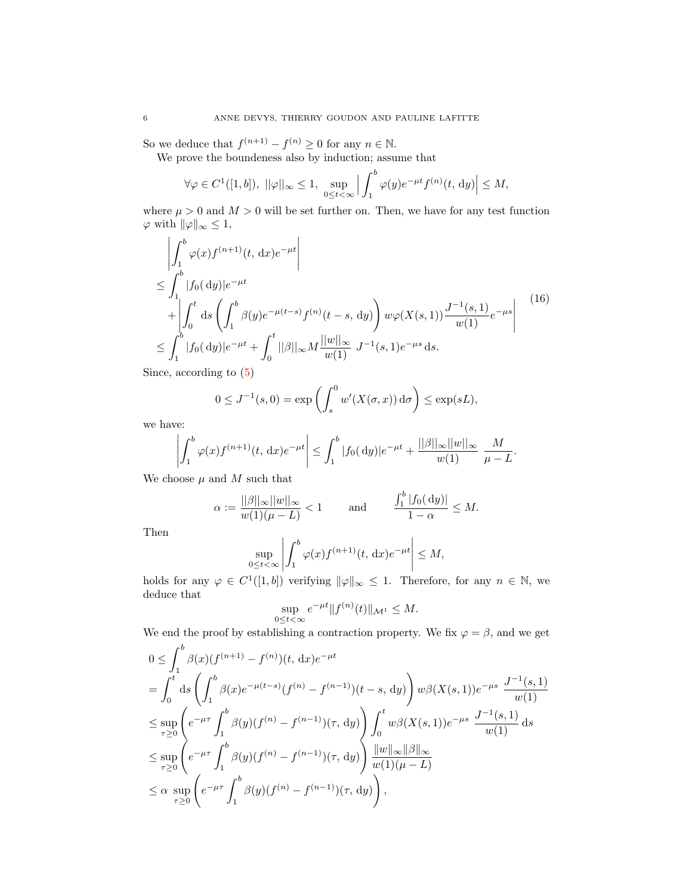So we deduce that  $f^{(n+1)} - f^{(n)} \geq 0$  for any  $n \in \mathbb{N}$ .

We prove the boundeness also by induction; assume that

J.

$$
\forall \varphi \in C^{1}([1, b]), \ ||\varphi||_{\infty} \leq 1, \ \sup_{0 \leq t < \infty} \Big| \int_{1}^{b} \varphi(y) e^{-\mu t} f^{(n)}(t, dy) \Big| \leq M,
$$

where  $\mu > 0$  and  $M > 0$  will be set further on. Then, we have for any test function  $\varphi$  with  $\|\varphi\|_{\infty} \leq 1$ ,

$$
\left| \int_{1}^{b} \varphi(x) f^{(n+1)}(t, dx) e^{-\mu t} \right|
$$
\n
$$
\leq \int_{1}^{b} |f_{0}(dy)| e^{-\mu t}
$$
\n
$$
+ \left| \int_{0}^{t} ds \left( \int_{1}^{b} \beta(y) e^{-\mu(t-s)} f^{(n)}(t-s, dy) \right) w \varphi(X(s, 1)) \frac{J^{-1}(s, 1)}{w(1)} e^{-\mu s} \right|
$$
\n
$$
\leq \int_{1}^{b} |f_{0}(dy)| e^{-\mu t} + \int_{0}^{t} ||\beta||_{\infty} M \frac{||w||_{\infty}}{w(1)} J^{-1}(s, 1) e^{-\mu s} ds.
$$
\n
$$
(16)
$$

Since, according to [\(5\)](#page-1-3)

$$
0 \le J^{-1}(s,0) = \exp\left(\int_s^0 w'(X(\sigma, x)) d\sigma\right) \le \exp(sL),
$$

we have:

$$
\left| \int_{1}^{b} \varphi(x) f^{(n+1)}(t, dx) e^{-\mu t} \right| \leq \int_{1}^{b} |f_0(dy)| e^{-\mu t} + \frac{||\beta||_{\infty} ||w||_{\infty}}{w(1)} \frac{M}{\mu - L}.
$$

We choose  $\mu$  and  $M$  such that

$$
\alpha := \frac{||\beta||_{\infty}||w||_{\infty}}{w(1)(\mu - L)} < 1 \quad \text{and} \quad \frac{\int_1^b |f_0(dy)|}{1 - \alpha} \le M.
$$

Then

$$
\sup_{0\leq t<\infty}\left|\int_1^b\varphi(x)f^{(n+1)}(t,\,\mathrm{d} x)e^{-\mu t}\right|\leq M,
$$

holds for any  $\varphi \in C^1([1, b])$  verifying  $\|\varphi\|_{\infty} \leq 1$ . Therefore, for any  $n \in \mathbb{N}$ , we deduce that

$$
\sup_{0\leq t<\infty}e^{-\mu t}\|f^{(n)}(t)\|_{\mathcal{M}^1}\leq M.
$$

We end the proof by establishing a contraction property. We fix  $\varphi = \beta$ , and we get

$$
0 \leq \int_{1}^{b} \beta(x)(f^{(n+1)} - f^{(n)})(t, dx)e^{-\mu t}
$$
  
\n
$$
= \int_{0}^{t} ds \left( \int_{1}^{b} \beta(x)e^{-\mu(t-s)}(f^{(n)} - f^{(n-1)})(t-s, dy) \right) w\beta(X(s,1))e^{-\mu s} \frac{J^{-1}(s,1)}{w(1)}
$$
  
\n
$$
\leq \sup_{\tau \geq 0} \left( e^{-\mu \tau} \int_{1}^{b} \beta(y)(f^{(n)} - f^{(n-1)})(\tau, dy) \right) \int_{0}^{t} w\beta(X(s,1))e^{-\mu s} \frac{J^{-1}(s,1)}{w(1)} ds
$$
  
\n
$$
\leq \sup_{\tau \geq 0} \left( e^{-\mu \tau} \int_{1}^{b} \beta(y)(f^{(n)} - f^{(n-1)})(\tau, dy) \right) \frac{||w||_{\infty} ||\beta||_{\infty}}{w(1)(\mu - L)}
$$
  
\n
$$
\leq \alpha \sup_{\tau \geq 0} \left( e^{-\mu \tau} \int_{1}^{b} \beta(y)(f^{(n)} - f^{(n-1)})(\tau, dy) \right),
$$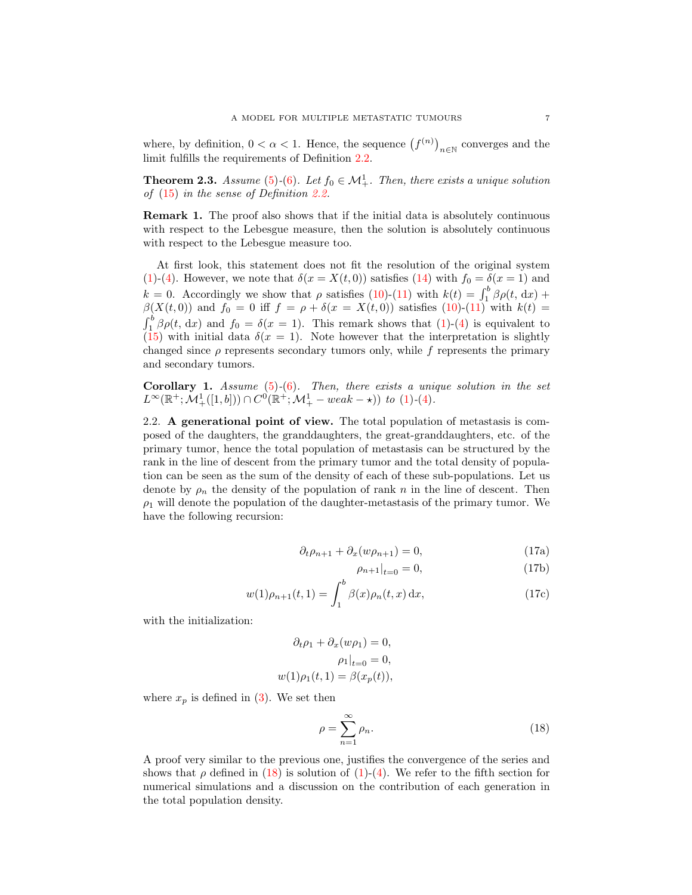where, by definition,  $0 < \alpha < 1$ . Hence, the sequence  $(f^{(n)})_{n \in \mathbb{N}}$  converges and the limit fulfills the requirements of Definition [2.2.](#page-4-1)

**Theorem 2.3.** Assume [\(5\)](#page-1-3)-[\(6\)](#page-1-4). Let  $f_0 \in M^1_+$ . Then, there exists a unique solution of [\(15\)](#page-4-2) in the sense of Definition [2.2.](#page-4-1)

Remark 1. The proof also shows that if the initial data is absolutely continuous with respect to the Lebesgue measure, then the solution is absolutely continuous with respect to the Lebesgue measure too.

At first look, this statement does not fit the resolution of the original system [\(1\)](#page-0-0)-[\(4\)](#page-1-0). However, we note that  $\delta(x = X(t, 0))$  satisfies [\(14\)](#page-4-0) with  $f_0 = \delta(x = 1)$  and  $k = 0$ . Accordingly we show that  $\rho$  satisfies [\(10\)](#page-3-0)-[\(11\)](#page-3-1) with  $k(t) = \int_1^b \beta \rho(t, dx)$  +  $\beta(X(t,0))$  and  $f_0 = 0$  iff  $f = \rho + \delta(x = X(t,0))$  satisfies  $(10)-(11)$  $(10)-(11)$  $(10)-(11)$  with  $k(t) =$  $\int_1^b \beta \rho(t, dx)$  and  $f_0 = \delta(x = 1)$ . This remark shows that [\(1\)](#page-0-0)-[\(4\)](#page-1-0) is equivalent to [\(15\)](#page-4-2) with initial data  $\delta(x=1)$ . Note however that the interpretation is slightly changed since  $\rho$  represents secondary tumors only, while f represents the primary and secondary tumors.

**Corollary 1.** Assume  $(5)-(6)$  $(5)-(6)$  $(5)-(6)$ . Then, there exists a unique solution in the set  $L^{\infty}(\mathbb{R}^+;\mathcal{M}^1_+([1,b])) \cap C^0(\mathbb{R}^+;\mathcal{M}^1_+ - weak - \star))$  to [\(1\)](#page-0-0)-[\(4\)](#page-1-0).

<span id="page-6-1"></span>2.2. A generational point of view. The total population of metastasis is composed of the daughters, the granddaughters, the great-granddaughters, etc. of the primary tumor, hence the total population of metastasis can be structured by the rank in the line of descent from the primary tumor and the total density of population can be seen as the sum of the density of each of these sub-populations. Let us denote by  $\rho_n$  the density of the population of rank n in the line of descent. Then  $\rho_1$  will denote the population of the daughter-metastasis of the primary tumor. We have the following recursion:

$$
\partial_t \rho_{n+1} + \partial_x (w \rho_{n+1}) = 0,\tag{17a}
$$

$$
\rho_{n+1}|_{t=0} = 0,\t(17b)
$$

$$
w(1)\rho_{n+1}(t,1) = \int_1^b \beta(x)\rho_n(t,x) \,dx,\tag{17c}
$$

with the initialization:

$$
\partial_t \rho_1 + \partial_x (w \rho_1) = 0,
$$
  
\n
$$
\rho_1 \big|_{t=0} = 0,
$$
  
\n
$$
w(1)\rho_1(t, 1) = \beta(x_p(t)),
$$

where  $x_p$  is defined in [\(3\)](#page-1-1). We set then

<span id="page-6-0"></span>
$$
\rho = \sum_{n=1}^{\infty} \rho_n.
$$
\n(18)

A proof very similar to the previous one, justifies the convergence of the series and shows that  $\rho$  defined in [\(18\)](#page-6-0) is solution of [\(1\)](#page-0-0)-[\(4\)](#page-1-0). We refer to the fifth section for numerical simulations and a discussion on the contribution of each generation in the total population density.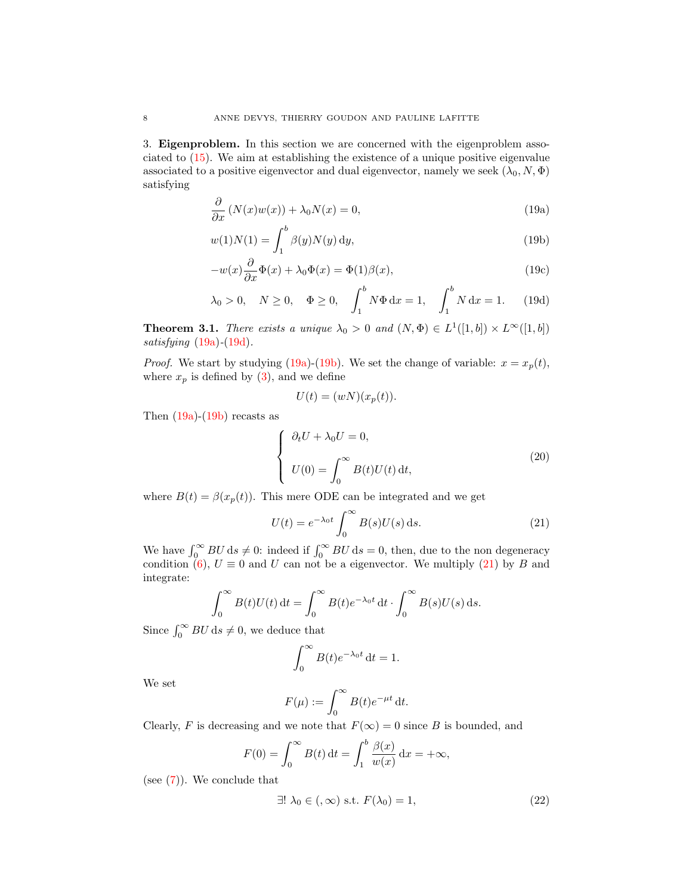<span id="page-7-0"></span>3. Eigenproblem. In this section we are concerned with the eigenproblem associated to [\(15\)](#page-4-2). We aim at establishing the existence of a unique positive eigenvalue associated to a positive eigenvector and dual eigenvector, namely we seek  $(\lambda_0, N, \Phi)$ satisfying

$$
\frac{\partial}{\partial x} \left( N(x)w(x) \right) + \lambda_0 N(x) = 0, \tag{19a}
$$

$$
w(1)N(1) = \int_{1}^{b} \beta(y)N(y) \, dy,
$$
\n(19b)

$$
-w(x)\frac{\partial}{\partial x}\Phi(x) + \lambda_0 \Phi(x) = \Phi(1)\beta(x),\tag{19c}
$$

$$
\lambda_0 > 0
$$
,  $N \ge 0$ ,  $\Phi \ge 0$ ,  $\int_1^b N \Phi \, dx = 1$ ,  $\int_1^b N \, dx = 1$ . (19d)

**Theorem 3.1.** There exists a unique  $\lambda_0 > 0$  and  $(N, \Phi) \in L^1([1, b]) \times L^{\infty}([1, b])$ satisfying  $(19a)-(19d)$  $(19a)-(19d)$  $(19a)-(19d)$ .

*Proof.* We start by studying [\(19a\)](#page-7-0)-[\(19b\)](#page-7-2). We set the change of variable:  $x = x_p(t)$ , where  $x_p$  is defined by [\(3\)](#page-1-1), and we define

<span id="page-7-5"></span><span id="page-7-2"></span><span id="page-7-1"></span>
$$
U(t) = (wN)(x_p(t)).
$$

Then  $(19a)-(19b)$  $(19a)-(19b)$  $(19a)-(19b)$  recasts as

<span id="page-7-4"></span>
$$
\begin{cases}\n\partial_t U + \lambda_0 U = 0, \\
U(0) = \int_0^\infty B(t)U(t) dt,\n\end{cases}
$$
\n(20)

where  $B(t) = \beta(x_p(t))$ . This mere ODE can be integrated and we get

<span id="page-7-3"></span>
$$
U(t) = e^{-\lambda_0 t} \int_0^\infty B(s) U(s) \, \mathrm{d}s. \tag{21}
$$

We have  $\int_0^\infty BU \, ds \neq 0$ : indeed if  $\int_0^\infty BU \, ds = 0$ , then, due to the non degeneracy condition [\(6\)](#page-1-4),  $U \equiv 0$  and U can not be a eigenvector. We multiply [\(21\)](#page-7-3) by B and integrate:

$$
\int_0^\infty B(t)U(t) dt = \int_0^\infty B(t)e^{-\lambda_0 t} dt \cdot \int_0^\infty B(s)U(s) ds.
$$

Since  $\int_0^\infty BU \, ds \neq 0$ , we deduce that

$$
\int_0^\infty B(t)e^{-\lambda_0 t} dt = 1.
$$

We set

$$
F(\mu) := \int_0^\infty B(t)e^{-\mu t} dt.
$$

Clearly, F is decreasing and we note that  $F(\infty) = 0$  since B is bounded, and

$$
F(0) = \int_0^\infty B(t) dt = \int_1^b \frac{\beta(x)}{w(x)} dx = +\infty,
$$

(see [\(7\)](#page-1-2)). We conclude that

<span id="page-7-6"></span>
$$
\exists! \lambda_0 \in (0, \infty) \text{ s.t. } F(\lambda_0) = 1,
$$
 (22)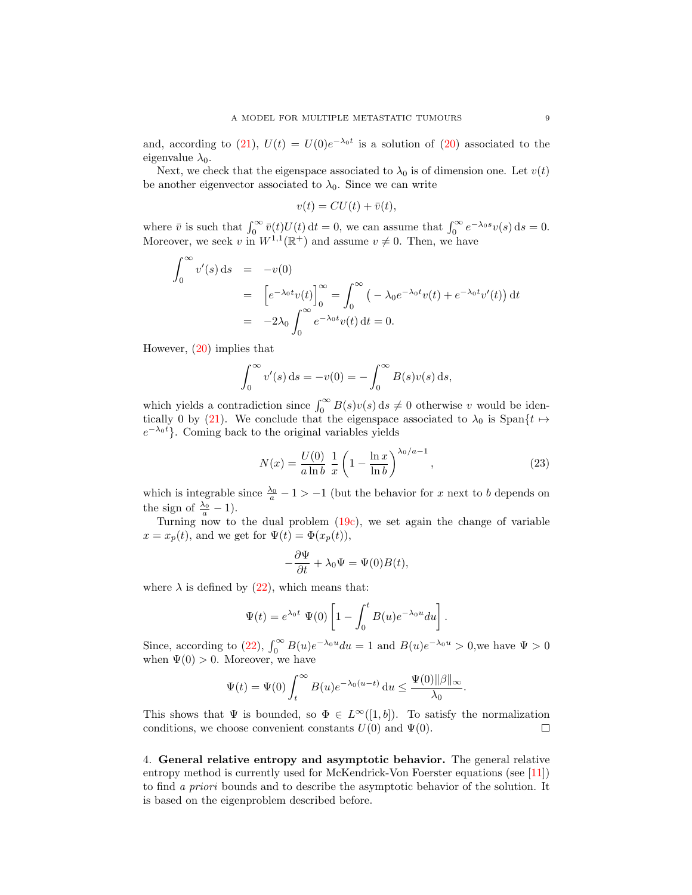and, according to [\(21\)](#page-7-3),  $U(t) = U(0)e^{-\lambda_0 t}$  is a solution of [\(20\)](#page-7-4) associated to the eigenvalue  $\lambda_0$ .

Next, we check that the eigenspace associated to  $\lambda_0$  is of dimension one. Let  $v(t)$ be another eigenvector associated to  $\lambda_0$ . Since we can write

$$
v(t) = CU(t) + \bar{v}(t),
$$

where  $\bar{v}$  is such that  $\int_0^\infty \bar{v}(t)U(t) dt = 0$ , we can assume that  $\int_0^\infty e^{-\lambda_0 s}v(s) ds = 0$ . Moreover, we seek v in  $W^{1,1}(\mathbb{R}^+)$  and assume  $v \neq 0$ . Then, we have

$$
\int_0^\infty v'(s) ds = -v(0)
$$
  
=  $\left[ e^{-\lambda_0 t} v(t) \right]_0^\infty = \int_0^\infty \left( -\lambda_0 e^{-\lambda_0 t} v(t) + e^{-\lambda_0 t} v'(t) \right) dt$   
=  $-2\lambda_0 \int_0^\infty e^{-\lambda_0 t} v(t) dt = 0.$ 

However, [\(20\)](#page-7-4) implies that

$$
\int_0^{\infty} v'(s) ds = -v(0) = -\int_0^{\infty} B(s)v(s) ds,
$$

which yields a contradiction since  $\int_0^\infty B(s)v(s) ds \neq 0$  otherwise v would be iden-tically 0 by [\(21\)](#page-7-3). We conclude that the eigenspace associated to  $\lambda_0$  is Span $\{t \mapsto$  $e^{-\lambda_0 t}$ . Coming back to the original variables yields

<span id="page-8-0"></span>
$$
N(x) = \frac{U(0)}{a \ln b} \frac{1}{x} \left( 1 - \frac{\ln x}{\ln b} \right)^{\lambda_0/a - 1},
$$
\n(23)

which is integrable since  $\frac{\lambda_0}{a} - 1 > -1$  (but the behavior for x next to b depends on the sign of  $\frac{\lambda_0}{a} - 1$ ).

Turning now to the dual problem [\(19c\)](#page-7-5), we set again the change of variable  $x = x_p(t)$ , and we get for  $\Psi(t) = \Phi(x_p(t))$ ,

$$
-\frac{\partial \Psi}{\partial t} + \lambda_0 \Psi = \Psi(0)B(t),
$$

where  $\lambda$  is defined by [\(22\)](#page-7-6), which means that:

$$
\Psi(t) = e^{\lambda_0 t} \Psi(0) \left[ 1 - \int_0^t B(u) e^{-\lambda_0 u} du \right].
$$

Since, according to [\(22\)](#page-7-6),  $\int_0^\infty B(u)e^{-\lambda_0 u} du = 1$  and  $B(u)e^{-\lambda_0 u} > 0$ , we have  $\Psi > 0$ when  $\Psi(0) > 0$ . Moreover, we have

$$
\Psi(t) = \Psi(0) \int_t^{\infty} B(u)e^{-\lambda_0(u-t)} du \leq \frac{\Psi(0)\|\beta\|_{\infty}}{\lambda_0}.
$$

This shows that  $\Psi$  is bounded, so  $\Phi \in L^{\infty}([1, b])$ . To satisfy the normalization conditions, we choose convenient constants  $U(0)$  and  $\Psi(0)$ .  $\Box$ 

4. General relative entropy and asymptotic behavior. The general relative entropy method is currently used for McKendrick-Von Foerster equations (see [\[11\]](#page-36-4)) to find a priori bounds and to describe the asymptotic behavior of the solution. It is based on the eigenproblem described before.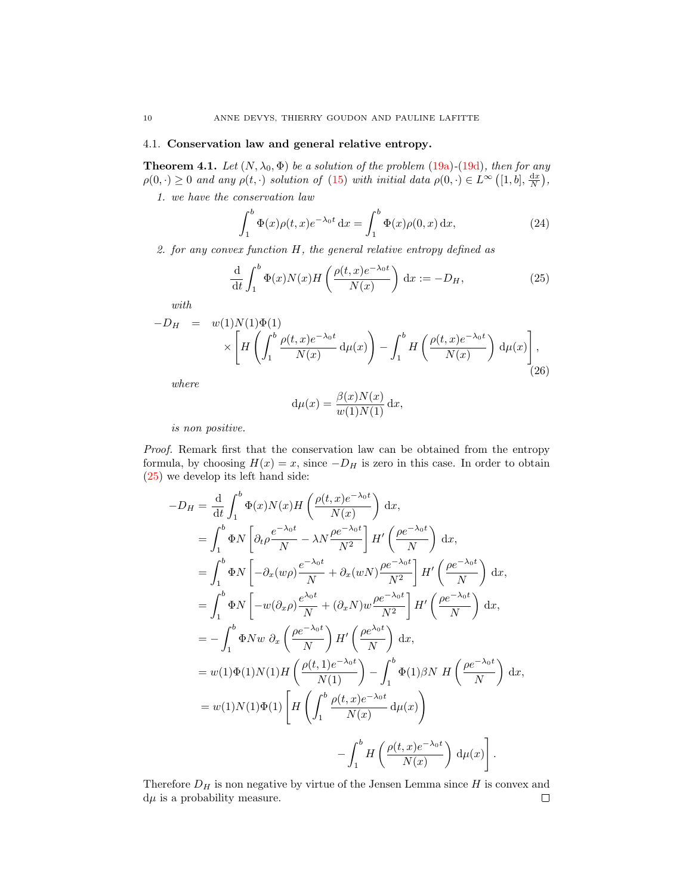# 4.1. Conservation law and general relative entropy.

<span id="page-9-1"></span>**Theorem 4.1.** Let  $(N, \lambda_0, \Phi)$  be a solution of the problem [\(19a\)](#page-7-0)-[\(19d\)](#page-7-1), then for any  $\rho(0, \cdot) \geq 0$  and any  $\rho(t, \cdot)$  solution of [\(15\)](#page-4-2) with initial data  $\rho(0, \cdot) \in L^{\infty}\left([1, b], \frac{dx}{N}\right)$ ,

1. we have the conservation law

<span id="page-9-3"></span>
$$
\int_{1}^{b} \Phi(x)\rho(t,x)e^{-\lambda_0 t} dx = \int_{1}^{b} \Phi(x)\rho(0,x) dx,
$$
\n(24)

2. for any convex function  $H$ , the general relative entropy defined as

<span id="page-9-0"></span>
$$
\frac{\mathrm{d}}{\mathrm{d}t} \int_{1}^{b} \Phi(x) N(x) H\left(\frac{\rho(t,x)e^{-\lambda_0 t}}{N(x)}\right) \mathrm{d}x := -D_H,
$$
\n(25)

with

<span id="page-9-2"></span>
$$
-D_H = w(1)N(1)\Phi(1)
$$
  
 
$$
\times \left[ H\left(\int_1^b \frac{\rho(t,x)e^{-\lambda_0 t}}{N(x)} d\mu(x)\right) - \int_1^b H\left(\frac{\rho(t,x)e^{-\lambda_0 t}}{N(x)}\right) d\mu(x)\right],
$$
 (26)

where

$$
d\mu(x) = \frac{\beta(x)N(x)}{w(1)N(1)} dx,
$$

is non positive.

Proof. Remark first that the conservation law can be obtained from the entropy formula, by choosing  $H(x) = x$ , since  $-D<sub>H</sub>$  is zero in this case. In order to obtain [\(25\)](#page-9-0) we develop its left hand side:

$$
-D_{H} = \frac{d}{dt} \int_{1}^{b} \Phi(x)N(x)H\left(\frac{\rho(t,x)e^{-\lambda_{0}t}}{N(x)}\right) dx,
$$
  
\n
$$
= \int_{1}^{b} \Phi N\left[\partial_{t}\rho\frac{e^{-\lambda_{0}t}}{N} - \lambda N\frac{\rho e^{-\lambda_{0}t}}{N^{2}}\right]H'\left(\frac{\rho e^{-\lambda_{0}t}}{N}\right) dx,
$$
  
\n
$$
= \int_{1}^{b} \Phi N\left[-\partial_{x}(w\rho)\frac{e^{-\lambda_{0}t}}{N} + \partial_{x}(wN)\frac{\rho e^{-\lambda_{0}t}}{N^{2}}\right]H'\left(\frac{\rho e^{-\lambda_{0}t}}{N}\right) dx,
$$
  
\n
$$
= \int_{1}^{b} \Phi N\left[-w(\partial_{x}\rho)\frac{e^{\lambda_{0}t}}{N} + (\partial_{x}N)w\frac{\rho e^{-\lambda_{0}t}}{N^{2}}\right]H'\left(\frac{\rho e^{-\lambda_{0}t}}{N}\right) dx,
$$
  
\n
$$
= -\int_{1}^{b} \Phi N w \partial_{x}\left(\frac{\rho e^{-\lambda_{0}t}}{N}\right)H'\left(\frac{\rho e^{\lambda_{0}t}}{N}\right) dx,
$$
  
\n
$$
= w(1)\Phi(1)N(1)H\left(\frac{\rho(t,1)e^{-\lambda_{0}t}}{N(1)}\right) - \int_{1}^{b} \Phi(1)\beta N H\left(\frac{\rho e^{-\lambda_{0}t}}{N}\right) dx,
$$
  
\n
$$
= w(1)N(1)\Phi(1)\left[H\left(\int_{1}^{b} \frac{\rho(t,x)e^{-\lambda_{0}t}}{N(x)} d\mu(x)\right)
$$
  
\n
$$
- \int_{1}^{b} H\left(\frac{\rho(t,x)e^{-\lambda_{0}t}}{N(x)}\right) d\mu(x)\right].
$$

Therefore  $D_H$  is non negative by virtue of the Jensen Lemma since  $H$  is convex and  $d\mu$  is a probability measure.  $\Box$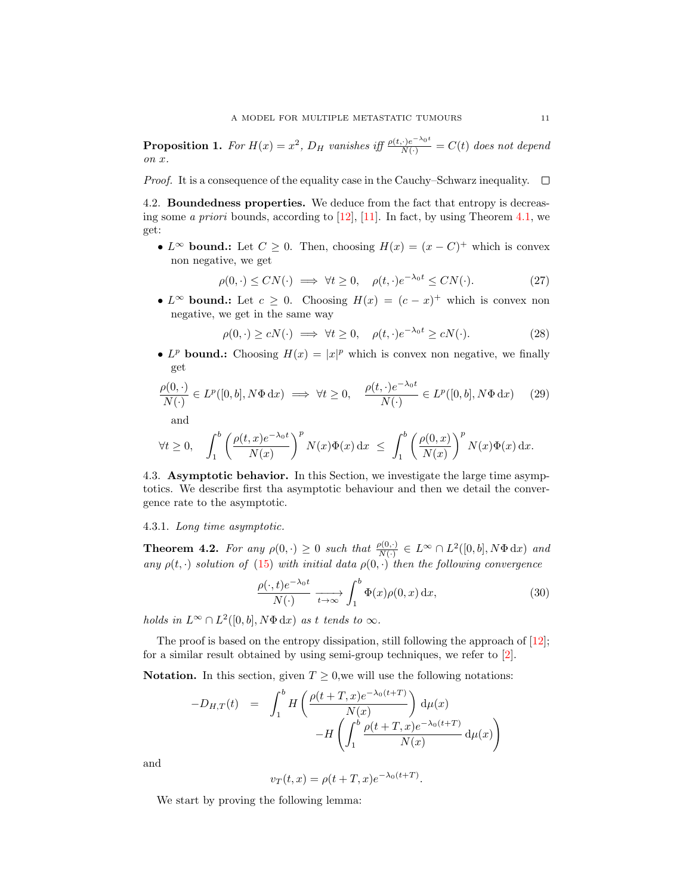<span id="page-10-2"></span>**Proposition 1.** For  $H(x) = x^2$ ,  $D_H$  vanishes iff  $\frac{\rho(t, \cdot)e^{-\lambda_0 t}}{N(\cdot)} = C(t)$  does not depend on x.

*Proof.* It is a consequence of the equality case in the Cauchy–Schwarz inequality.  $\square$ 

4.2. Boundedness properties. We deduce from the fact that entropy is decreasing some *a priori* bounds, according to  $[12]$ ,  $[11]$ . In fact, by using Theorem [4.1,](#page-9-1) we get:

•  $L^{\infty}$  bound: Let  $C \geq 0$ . Then, choosing  $H(x) = (x - C)^{+}$  which is convex non negative, we get

<span id="page-10-1"></span>
$$
\rho(0,\cdot) \le CN(\cdot) \implies \forall t \ge 0, \quad \rho(t,\cdot)e^{-\lambda_0 t} \le CN(\cdot). \tag{27}
$$

• L<sup>∞</sup> bound: Let  $c \ge 0$ . Choosing  $H(x) = (c - x)^{+}$  which is convex non negative, we get in the same way

$$
\rho(0, \cdot) \ge cN(\cdot) \implies \forall t \ge 0, \quad \rho(t, \cdot)e^{-\lambda_0 t} \ge cN(\cdot). \tag{28}
$$

• L<sup>p</sup> bound.: Choosing  $H(x) = |x|^p$  which is convex non negative, we finally get

<span id="page-10-0"></span>
$$
\frac{\rho(0,\cdot)}{N(\cdot)} \in L^p([0,b], N\Phi \,dx) \implies \forall t \ge 0, \quad \frac{\rho(t,\cdot)e^{-\lambda_0 t}}{N(\cdot)} \in L^p([0,b], N\Phi \,dx) \tag{29}
$$

and

$$
\forall t \geq 0, \quad \int_1^b \left( \frac{\rho(t,x)e^{-\lambda_0 t}}{N(x)} \right)^p N(x)\Phi(x) \, \mathrm{d}x \ \leq \ \int_1^b \left( \frac{\rho(0,x)}{N(x)} \right)^p N(x)\Phi(x) \, \mathrm{d}x.
$$

4.3. Asymptotic behavior. In this Section, we investigate the large time asymptotics. We describe first tha asymptotic behaviour and then we detail the convergence rate to the asymptotic.

### 4.3.1. Long time asymptotic.

<span id="page-10-3"></span>**Theorem 4.2.** For any  $\rho(0, \cdot) \ge 0$  such that  $\frac{\rho(0, \cdot)}{N(\cdot)} \in L^{\infty} \cap L^{2}([0, b], N\Phi \,dx)$  and any  $\rho(t, \cdot)$  solution of [\(15\)](#page-4-2) with initial data  $\rho(0, \cdot)$  then the following convergence

<span id="page-10-4"></span>
$$
\frac{\rho(\cdot,t)e^{-\lambda_0 t}}{N(\cdot)} \xrightarrow[t \to \infty]{} \int_1^b \Phi(x)\rho(0,x) \, \mathrm{d}x,\tag{30}
$$

holds in  $L^{\infty} \cap L^2([0, b], N\Phi \,dx)$  as t tends to  $\infty$ .

The proof is based on the entropy dissipation, still following the approach of [\[12\]](#page-36-3); for a similar result obtained by using semi-group techniques, we refer to [\[2\]](#page-35-3).

Notation. In this section, given  $T \geq 0$ , we will use the following notations:

$$
-D_{H,T}(t) = \int_1^b H\left(\frac{\rho(t+T,x)e^{-\lambda_0(t+T)}}{N(x)}\right) d\mu(x)
$$

$$
-H\left(\int_1^b \frac{\rho(t+T,x)e^{-\lambda_0(t+T)}}{N(x)} d\mu(x)\right)
$$

and

$$
v_T(t,x) = \rho(t+T,x)e^{-\lambda_0(t+T)}.
$$

We start by proving the following lemma: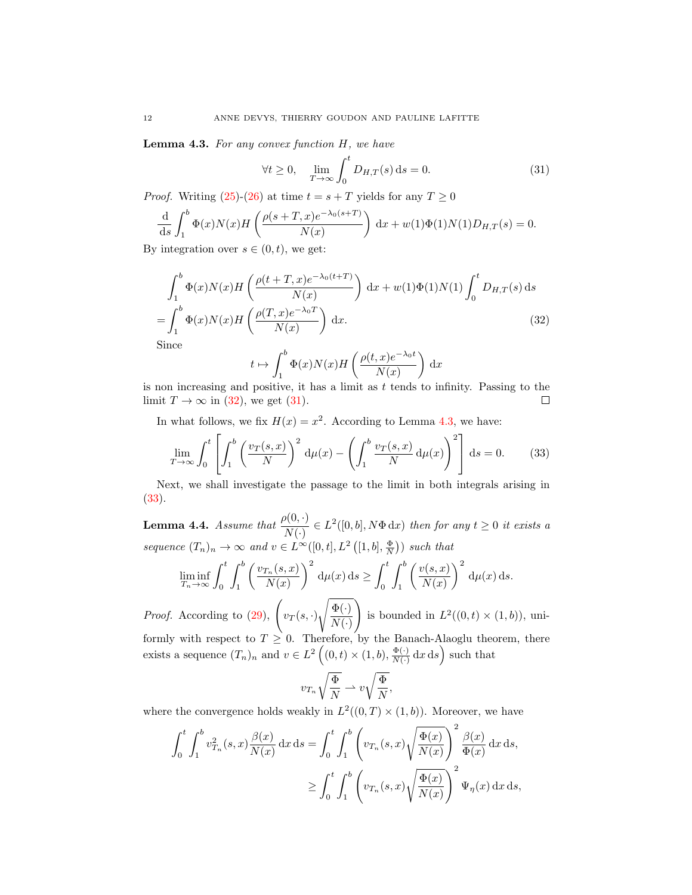<span id="page-11-2"></span>**Lemma 4.3.** For any convex function  $H$ , we have

<span id="page-11-1"></span>
$$
\forall t \ge 0, \quad \lim_{T \to \infty} \int_0^t D_{H,T}(s) \, \mathrm{d}s = 0. \tag{31}
$$

*Proof.* Writing [\(25\)](#page-9-0)-[\(26\)](#page-9-2) at time  $t = s + T$  yields for any  $T \geq 0$ 

$$
\frac{\mathrm{d}}{\mathrm{d}s} \int_1^b \Phi(x)N(x)H\left(\frac{\rho(s+T,x)e^{-\lambda_0(s+T)}}{N(x)}\right) \mathrm{d}x + w(1)\Phi(1)N(1)D_{H,T}(s) = 0.
$$

By integration over  $s \in (0, t)$ , we get:

$$
\int_{1}^{b} \Phi(x)N(x)H\left(\frac{\rho(t+T,x)e^{-\lambda_{0}(t+T)}}{N(x)}\right) dx + w(1)\Phi(1)N(1)\int_{0}^{t} D_{H,T}(s) ds
$$
\n
$$
= \int_{1}^{b} \Phi(x)N(x)H\left(\frac{\rho(T,x)e^{-\lambda_{0}T}}{N(x)}\right) dx.
$$
\n(32)

Since

<span id="page-11-0"></span>
$$
t \mapsto \int_1^b \Phi(x)N(x)H\left(\frac{\rho(t,x)e^{-\lambda_0 t}}{N(x)}\right) dx
$$

is non increasing and positive, it has a limit as  $t$  tends to infinity. Passing to the limit  $T \to \infty$  in [\(32\)](#page-11-0), we get [\(31\)](#page-11-1). П

In what follows, we fix  $H(x) = x^2$ . According to Lemma [4.3,](#page-11-2) we have:

<span id="page-11-3"></span>
$$
\lim_{T \to \infty} \int_0^t \left[ \int_1^b \left( \frac{v_T(s,x)}{N} \right)^2 d\mu(x) - \left( \int_1^b \frac{v_T(s,x)}{N} d\mu(x) \right)^2 \right] ds = 0. \tag{33}
$$

Next, we shall investigate the passage to the limit in both integrals arising in [\(33\)](#page-11-3).

<span id="page-11-4"></span>**Lemma 4.4.** Assume that  $\frac{\rho(0, \cdot)}{N(\cdot)} \in L^2([0, b], N\Phi \, dx)$  then for any  $t \geq 0$  it exists a sequence  $(T_n)_n \to \infty$  and  $v \in L^{\infty}([0,t], L^2([1,b], \frac{\Phi}{N}))$  such that

$$
\liminf_{T_n \to \infty} \int_0^t \int_1^b \left( \frac{v_{T_n}(s,x)}{N(x)} \right)^2 d\mu(x) ds \ge \int_0^t \int_1^b \left( \frac{v(s,x)}{N(x)} \right)^2 d\mu(x) ds.
$$

*Proof.* According to [\(29\)](#page-10-0),  $\left(v_T(s, \cdot)\right)$  $\sqrt{\Phi(\cdot)}$  $N(\cdot)$  $\setminus$ is bounded in  $L^2((0,t) \times (1,b))$ , uniformly with respect to  $T \geq 0$ . Therefore, by the Banach-Alaoglu theorem, there

exists a sequence  $(T_n)_n$  and  $v \in L^2((0,t) \times (1,b), \frac{\Phi(\cdot)}{N(\cdot)})$  $\frac{\Phi(\cdot)}{N(\cdot)}$  dx ds) such that

$$
v_{T_n}\sqrt{\frac{\Phi}{N}} \rightharpoonup v\sqrt{\frac{\Phi}{N}},
$$

where the convergence holds weakly in  $L^2((0,T) \times (1,b))$ . Moreover, we have

$$
\int_0^t \int_1^b v_{T_n}^2(s,x) \frac{\beta(x)}{N(x)} dx ds = \int_0^t \int_1^b \left( v_{T_n}(s,x) \sqrt{\frac{\Phi(x)}{N(x)}} \right)^2 \frac{\beta(x)}{\Phi(x)} dx ds,
$$
  

$$
\geq \int_0^t \int_1^b \left( v_{T_n}(s,x) \sqrt{\frac{\Phi(x)}{N(x)}} \right)^2 \Psi_{\eta}(x) dx ds,
$$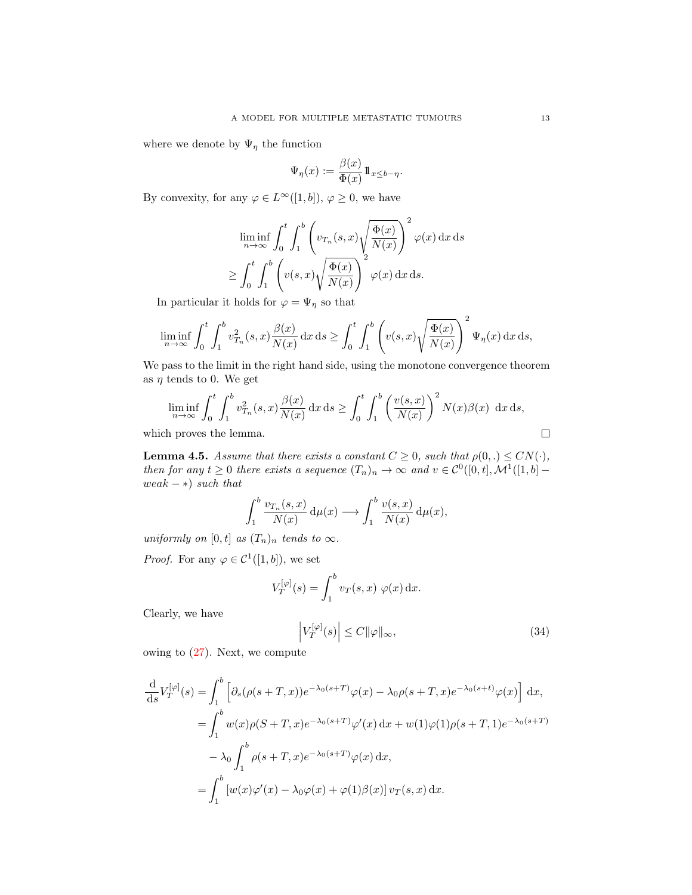where we denote by  $\Psi_{\eta}$  the function

$$
\Psi_{\eta}(x) := \frac{\beta(x)}{\Phi(x)} 1\!\!1_{x \leq b - \eta}.
$$

By convexity, for any  $\varphi \in L^{\infty}([1,b]), \varphi \geq 0$ , we have

$$
\liminf_{n \to \infty} \int_0^t \int_1^b \left( v_{T_n}(s, x) \sqrt{\frac{\Phi(x)}{N(x)}} \right)^2 \varphi(x) \, dx \, ds
$$
  

$$
\geq \int_0^t \int_1^b \left( v(s, x) \sqrt{\frac{\Phi(x)}{N(x)}} \right)^2 \varphi(x) \, dx \, ds.
$$

In particular it holds for  $\varphi = \Psi_{\eta}$  so that

$$
\liminf_{n\to\infty}\int_0^t\int_1^b v_{T_n}^2(s,x)\frac{\beta(x)}{N(x)}\,\mathrm{d} x\,\mathrm{d} s\geq \int_0^t\int_1^b\left(v(s,x)\sqrt{\frac{\Phi(x)}{N(x)}}\right)^2\Psi_\eta(x)\,\mathrm{d} x\,\mathrm{d} s,
$$

We pass to the limit in the right hand side, using the monotone convergence theorem as  $\eta$  tends to 0. We get

$$
\liminf_{n \to \infty} \int_0^t \int_1^b v_{T_n}^2(s, x) \frac{\beta(x)}{N(x)} dx ds \ge \int_0^t \int_1^b \left(\frac{v(s, x)}{N(x)}\right)^2 N(x) \beta(x) dx ds,
$$
  
h proves the lemma.

which proves the lemma.

<span id="page-12-1"></span>**Lemma 4.5.** Assume that there exists a constant  $C \geq 0$ , such that  $\rho(0,.) \leq CN(\cdot)$ , then for any  $t \geq 0$  there exists a sequence  $(T_n)_n \to \infty$  and  $v \in C^0([0, t], \mathcal{M}^1([1, b])$ weak  $-$  ∗) such that

$$
\int_1^b \frac{v_{T_n}(s,x)}{N(x)} d\mu(x) \longrightarrow \int_1^b \frac{v(s,x)}{N(x)} d\mu(x),
$$

uniformly on [0, t] as  $(T_n)_n$  tends to  $\infty$ .

*Proof.* For any  $\varphi \in C^1([1, b])$ , we set

$$
V_T^{[\varphi]}(s) = \int_1^b v_T(s, x) \varphi(x) \, \mathrm{d}x.
$$

Clearly, we have

<span id="page-12-0"></span>
$$
\left| V_T^{[\varphi]}(s) \right| \le C ||\varphi||_{\infty},\tag{34}
$$

owing to [\(27\)](#page-10-1). Next, we compute

$$
\frac{d}{ds}V_T^{[\varphi]}(s) = \int_1^b \left[ \partial_s(\rho(s+T,x))e^{-\lambda_0(s+T)}\varphi(x) - \lambda_0\rho(s+T,x)e^{-\lambda_0(s+t)}\varphi(x) \right] dx,
$$
  
\n
$$
= \int_1^b w(x)\rho(S+T,x)e^{-\lambda_0(s+T)}\varphi'(x) dx + w(1)\varphi(1)\rho(s+T,1)e^{-\lambda_0(s+T)}
$$
  
\n
$$
- \lambda_0 \int_1^b \rho(s+T,x)e^{-\lambda_0(s+T)}\varphi(x) dx,
$$
  
\n
$$
= \int_1^b \left[ w(x)\varphi'(x) - \lambda_0\varphi(x) + \varphi(1)\beta(x) \right] v_T(s,x) dx.
$$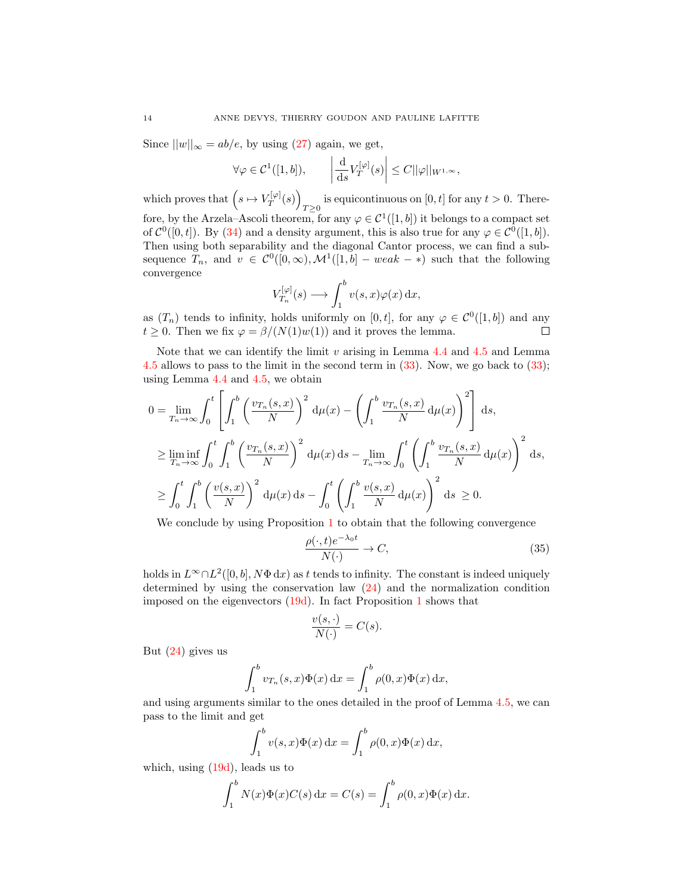Since  $||w||_{\infty} = ab/e$ , by using [\(27\)](#page-10-1) again, we get,

$$
\forall \varphi \in \mathcal{C}^1([1, b]), \qquad \left| \frac{\mathrm{d}}{\mathrm{d}s} V_T^{[\varphi]}(s) \right| \leq C ||\varphi||_{W^{1, \infty}},
$$

which proves that  $(s \mapsto V_T^{[\varphi]}$  $T^{[\varphi]}(s) \Big)$ is equicontinuous on [0, t] for any  $t > 0$ . Therefore, by the Arzela–Ascoli theorem, for any  $\varphi \in C^1([1, b])$  it belongs to a compact set of  $\mathcal{C}^0([0,t])$ . By [\(34\)](#page-12-0) and a density argument, this is also true for any  $\varphi \in \mathcal{C}^0([1,b])$ . Then using both separability and the diagonal Cantor process, we can find a subsequence  $T_n$ , and  $v \in C^0([0,\infty), \mathcal{M}^1([1,b] - weak - *)$  such that the following convergence

$$
V_{T_n}^{[\varphi]}(s) \longrightarrow \int_1^b v(s,x)\varphi(x) \,dx,
$$

as  $(T_n)$  tends to infinity, holds uniformly on  $[0, t]$ , for any  $\varphi \in C^0([1, b])$  and any  $t \geq 0$ . Then we fix  $\varphi = \frac{\beta}{N(1)w(1)}$  and it proves the lemma.  $\Box$ 

Note that we can identify the limit  $v$  arising in Lemma [4.4](#page-11-4) and [4.5](#page-12-1) and Lemma [4.5](#page-12-1) allows to pass to the limit in the second term in [\(33\)](#page-11-3). Now, we go back to [\(33\)](#page-11-3); using Lemma [4.4](#page-11-4) and [4.5,](#page-12-1) we obtain

$$
0 = \lim_{T_n \to \infty} \int_0^t \left[ \int_1^b \left( \frac{v_{T_n}(s, x)}{N} \right)^2 d\mu(x) - \left( \int_1^b \frac{v_{T_n}(s, x)}{N} d\mu(x) \right)^2 \right] ds,
$$
  
\n
$$
\geq \liminf_{T_n \to \infty} \int_0^t \int_1^b \left( \frac{v_{T_n}(s, x)}{N} \right)^2 d\mu(x) ds - \lim_{T_n \to \infty} \int_0^t \left( \int_1^b \frac{v_{T_n}(s, x)}{N} d\mu(x) \right)^2 ds,
$$
  
\n
$$
\geq \int_0^t \int_1^b \left( \frac{v(s, x)}{N} \right)^2 d\mu(x) ds - \int_0^t \left( \int_1^b \frac{v(s, x)}{N} d\mu(x) \right)^2 ds \geq 0.
$$

We conclude by using Proposition [1](#page-10-2) to obtain that the following convergence

<span id="page-13-0"></span>
$$
\frac{\rho(\cdot,t)e^{-\lambda_0 t}}{N(\cdot)} \to C,\tag{35}
$$

holds in  $L^{\infty} \cap L^2([0, b], N\Phi \,dx)$  as t tends to infinity. The constant is indeed uniquely determined by using the conservation law [\(24\)](#page-9-3) and the normalization condition imposed on the eigenvectors [\(19d\)](#page-7-1). In fact Proposition [1](#page-10-2) shows that

$$
\frac{v(s, \cdot)}{N(\cdot)} = C(s).
$$

But [\(24\)](#page-9-3) gives us

$$
\int_1^b v_{T_n}(s,x)\Phi(x) dx = \int_1^b \rho(0,x)\Phi(x) dx,
$$

and using arguments similar to the ones detailed in the proof of Lemma [4.5,](#page-12-1) we can pass to the limit and get

$$
\int_1^b v(s,x)\Phi(x) dx = \int_1^b \rho(0,x)\Phi(x) dx,
$$

which, using  $(19d)$ , leads us to

$$
\int_{1}^{b} N(x)\Phi(x)C(s) dx = C(s) = \int_{1}^{b} \rho(0, x)\Phi(x) dx.
$$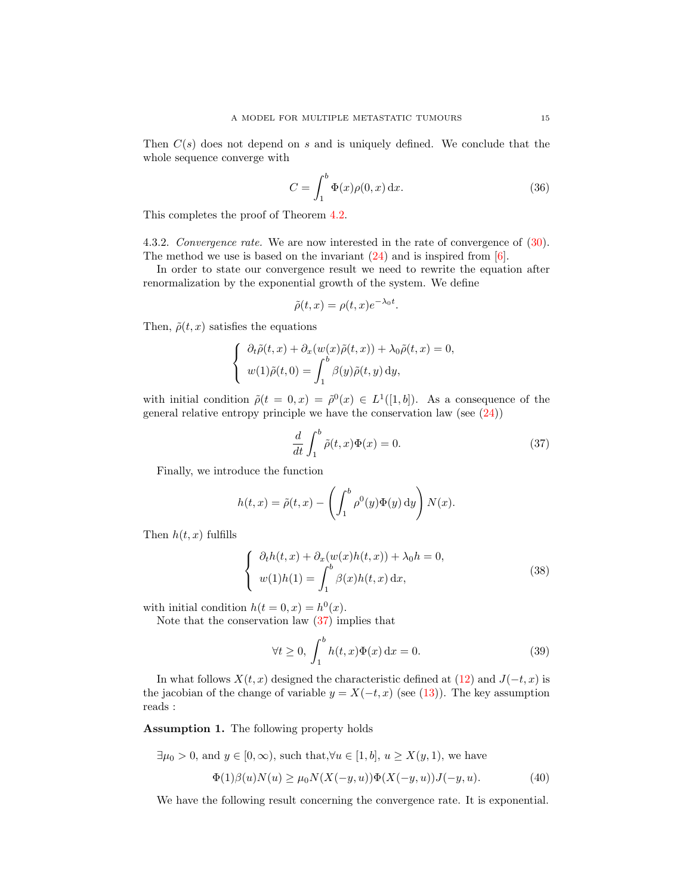Then  $C(s)$  does not depend on s and is uniquely defined. We conclude that the whole sequence converge with

<span id="page-14-5"></span>
$$
C = \int_{1}^{b} \Phi(x)\rho(0, x) dx.
$$
 (36)

This completes the proof of Theorem [4.2.](#page-10-3)

4.3.2. Convergence rate. We are now interested in the rate of convergence of [\(30\)](#page-10-4). The method we use is based on the invariant  $(24)$  and is inspired from [\[6\]](#page-35-5).

In order to state our convergence result we need to rewrite the equation after renormalization by the exponential growth of the system. We define

$$
\tilde{\rho}(t,x) = \rho(t,x)e^{-\lambda_0 t}.
$$

Then,  $\tilde{\rho}(t, x)$  satisfies the equations

$$
\begin{cases}\n\partial_t \tilde{\rho}(t,x) + \partial_x (w(x)\tilde{\rho}(t,x)) + \lambda_0 \tilde{\rho}(t,x) = 0, \\
w(1)\tilde{\rho}(t,0) = \int_1^b \beta(y)\tilde{\rho}(t,y) dy,\n\end{cases}
$$

with initial condition  $\tilde{\rho}(t=0,x) = \tilde{\rho}^0(x) \in L^1([1,b])$ . As a consequence of the general relative entropy principle we have the conservation law (see [\(24\)](#page-9-3))

<span id="page-14-0"></span>
$$
\frac{d}{dt} \int_{1}^{b} \tilde{\rho}(t, x)\Phi(x) = 0.
$$
\n(37)

Finally, we introduce the function

$$
h(t,x) = \tilde{\rho}(t,x) - \left(\int_1^b \rho^0(y)\Phi(y) \,dy\right)N(x).
$$

Then  $h(t, x)$  fulfills

<span id="page-14-1"></span>
$$
\begin{cases}\n\partial_t h(t, x) + \partial_x (w(x)h(t, x)) + \lambda_0 h = 0, \\
w(1)h(1) = \int_1^b \beta(x)h(t, x) dx,\n\end{cases}
$$
\n(38)

with initial condition  $h(t=0, x) = h^{0}(x)$ .

Note that the conservation law [\(37\)](#page-14-0) implies that

<span id="page-14-4"></span>
$$
\forall t \ge 0, \int_1^b h(t, x)\Phi(x) dx = 0.
$$
 (39)

In what follows  $X(t, x)$  designed the characteristic defined at [\(12\)](#page-3-2) and  $J(-t, x)$  is the jacobian of the change of variable  $y = X(-t, x)$  (see [\(13\)](#page-3-3)). The key assumption reads :

<span id="page-14-2"></span>Assumption 1. The following property holds

 $\exists \mu_0 > 0$ , and  $y \in [0, \infty)$ , such that, $\forall u \in [1, b]$ ,  $u \geq X(y, 1)$ , we have

<span id="page-14-3"></span>
$$
\Phi(1)\beta(u)N(u) \ge \mu_0 N(X(-y, u))\Phi(X(-y, u))J(-y, u). \tag{40}
$$

We have the following result concerning the convergence rate. It is exponential.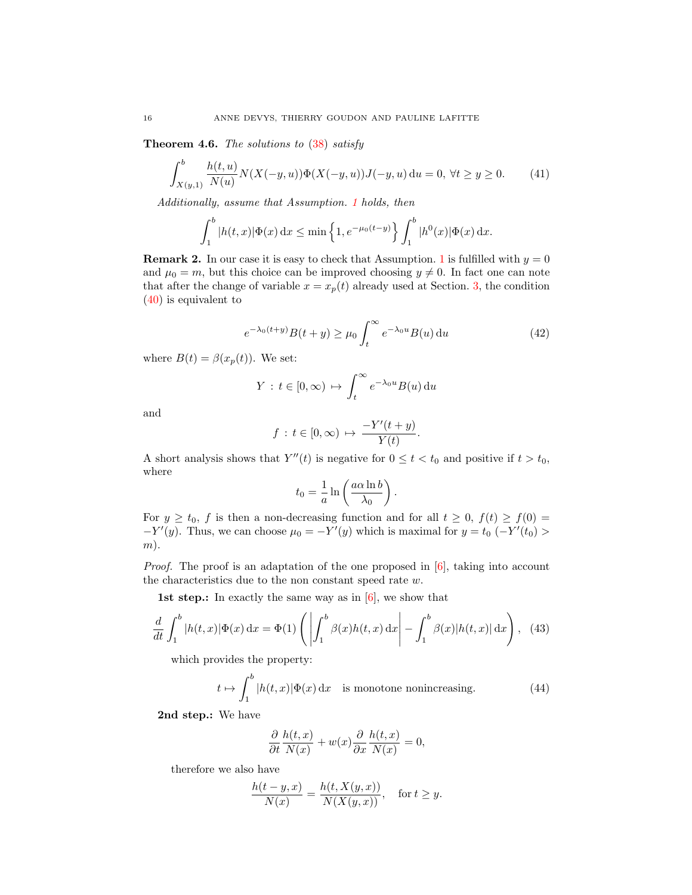**Theorem 4.6.** The solutions to  $(38)$  satisfy

<span id="page-15-0"></span>
$$
\int_{X(y,1)}^{b} \frac{h(t,u)}{N(u)} N(X(-y,u)) \Phi(X(-y,u)) J(-y,u) \, \mathrm{d}u = 0, \, \forall t \ge y \ge 0. \tag{41}
$$

Additionally, assume that Assumption. [1](#page-14-2) holds, then

$$
\int_1^b |h(t,x)| \Phi(x) dx \le \min\left\{1, e^{-\mu_0(t-y)}\right\} \int_1^b |h^0(x)| \Phi(x) dx.
$$

**Remark 2.** In our case it is easy to check that Assumption. [1](#page-14-2) is fulfilled with  $y = 0$ and  $\mu_0 = m$ , but this choice can be improved choosing  $y \neq 0$ . In fact one can note that after the change of variable  $x = x_p(t)$  already used at Section. [3,](#page-7-0) the condition [\(40\)](#page-14-3) is equivalent to

$$
e^{-\lambda_0(t+y)}B(t+y) \ge \mu_0 \int_t^{\infty} e^{-\lambda_0 u} B(u) \, \mathrm{d}u \tag{42}
$$

where  $B(t) = \beta(x_p(t))$ . We set:

$$
Y : t \in [0, \infty) \mapsto \int_t^{\infty} e^{-\lambda_0 u} B(u) \, \mathrm{d}u
$$

and

$$
f: t \in [0, \infty) \mapsto \frac{-Y'(t+y)}{Y(t)}.
$$

A short analysis shows that  $Y''(t)$  is negative for  $0 \le t < t_0$  and positive if  $t > t_0$ , where

$$
t_0 = \frac{1}{a} \ln \left( \frac{a\alpha \ln b}{\lambda_0} \right).
$$

For  $y \ge t_0$ , f is then a non-decreasing function and for all  $t \ge 0$ ,  $f(t) \ge f(0) =$  $-Y'(y)$ . Thus, we can choose  $\mu_0 = -Y'(y)$  which is maximal for  $y = t_0$  ( $-Y'(t_0)$ )  $(m).$ 

*Proof.* The proof is an adaptation of the one proposed in  $[6]$ , taking into account the characteristics due to the non constant speed rate w.

1st step.: In exactly the same way as in  $[6]$ , we show that

<span id="page-15-1"></span>
$$
\frac{d}{dt} \int_1^b |h(t,x)| \Phi(x) dx = \Phi(1) \left( \left| \int_1^b \beta(x) h(t,x) dx \right| - \int_1^b \beta(x) |h(t,x)| dx \right), \tag{43}
$$

which provides the property:

$$
t \mapsto \int_1^b |h(t,x)| \Phi(x) \, \mathrm{d}x \quad \text{is monotone nonincreasing.} \tag{44}
$$

2nd step.: We have

$$
\frac{\partial}{\partial t} \frac{h(t, x)}{N(x)} + w(x) \frac{\partial}{\partial x} \frac{h(t, x)}{N(x)} = 0,
$$

therefore we also have

$$
\frac{h(t-y,x)}{N(x)} = \frac{h(t, X(y,x))}{N(X(y,x))}, \quad \text{for } t \ge y.
$$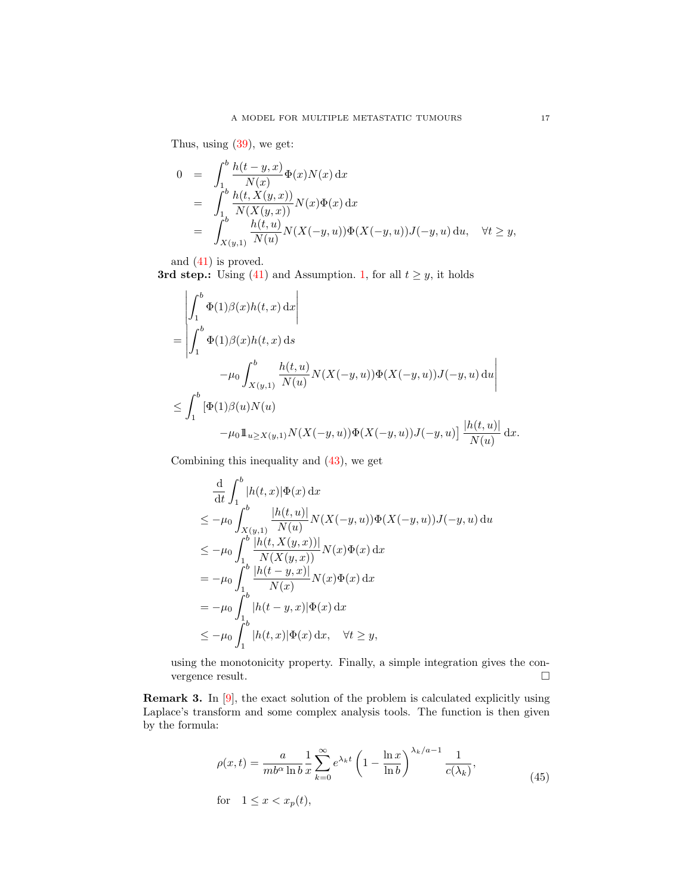Thus, using [\(39\)](#page-14-4), we get:

$$
0 = \int_{1}^{b} \frac{h(t - y, x)}{N(x)} \Phi(x) N(x) dx
$$
  
\n
$$
= \int_{1}^{b} \frac{h(t, X(y, x))}{N(X(y, x))} N(x) \Phi(x) dx
$$
  
\n
$$
= \int_{X(y, 1)}^{b} \frac{h(t, u)}{N(u)} N(X(-y, u)) \Phi(X(-y, u)) J(-y, u) du, \quad \forall t \ge y,
$$

and [\(41\)](#page-15-0) is proved.

3rd step.: Using [\(41\)](#page-15-0) and Assumption. [1,](#page-14-2) for all  $t \geq y$ , it holds

$$
\begin{aligned}\n&\left| \int_{1}^{b} \Phi(1)\beta(x)h(t,x) dx \right| \\
&= \left| \int_{1}^{b} \Phi(1)\beta(x)h(t,x) dx \right| \\
&\left| -\mu_{0} \int_{X(y,1)}^{b} \frac{h(t,u)}{N(u)} N(X(-y,u))\Phi(X(-y,u)) J(-y,u) du \right| \\
&\leq \int_{1}^{b} \left[ \Phi(1)\beta(u)N(u) \right. \\
&\left. -\mu_{0} 1\!\!1_{u \geq X(y,1)} N(X(-y,u))\Phi(X(-y,u)) J(-y,u) \right] \frac{|h(t,u)|}{N(u)} \,\mathrm{d} x.\n\end{aligned}
$$

Combining this inequality and [\(43\)](#page-15-1), we get

$$
\frac{d}{dt} \int_{1}^{b} |h(t,x)| \Phi(x) dx
$$
\n
$$
\leq -\mu_0 \int_{X(y,1)}^{b} \frac{|h(t,u)|}{N(u)} N(X(-y,u)) \Phi(X(-y,u)) J(-y,u) du
$$
\n
$$
\leq -\mu_0 \int_{1}^{b} \frac{|h(t,X(y,x))|}{N(X(y,x))} N(x) \Phi(x) dx
$$
\n
$$
= -\mu_0 \int_{1}^{b} \frac{|h(t-y,x)|}{N(x)} N(x) \Phi(x) dx
$$
\n
$$
= -\mu_0 \int_{1}^{b} |h(t-y,x)| \Phi(x) dx
$$
\n
$$
\leq -\mu_0 \int_{1}^{b} |h(t,x)| \Phi(x) dx, \quad \forall t \geq y,
$$

using the monotonicity property. Finally, a simple integration gives the convergence result.

Remark 3. In [\[9\]](#page-36-0), the exact solution of the problem is calculated explicitly using Laplace's transform and some complex analysis tools. The function is then given by the formula:

<span id="page-16-0"></span>
$$
\rho(x,t) = \frac{a}{mb^\alpha \ln b} \frac{1}{x} \sum_{k=0}^{\infty} e^{\lambda_k t} \left( 1 - \frac{\ln x}{\ln b} \right)^{\lambda_k/a - 1} \frac{1}{c(\lambda_k)},
$$
\nfor

\n
$$
1 \le x < x_p(t),
$$
\n(45)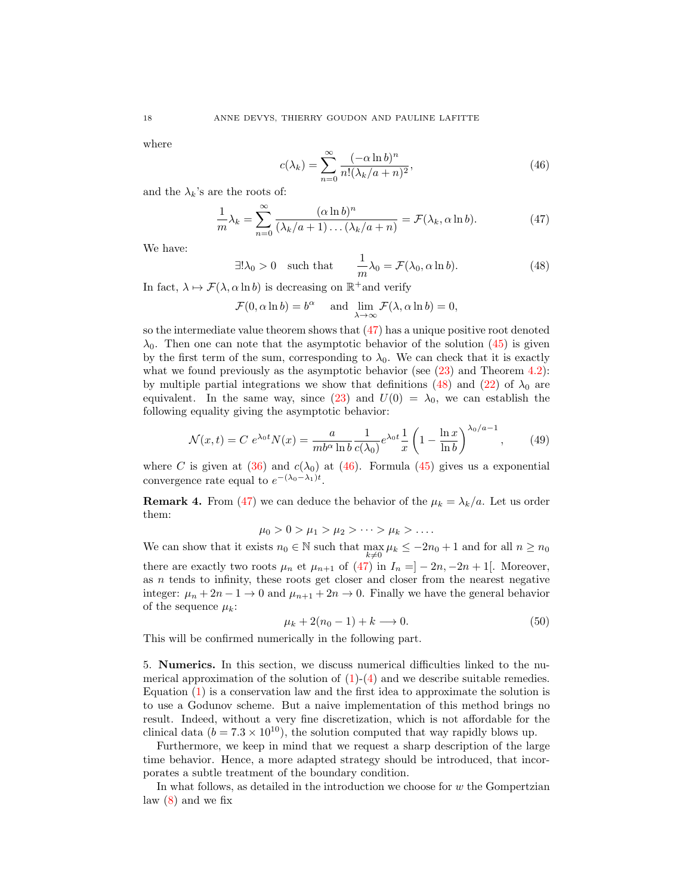where

<span id="page-17-2"></span>
$$
c(\lambda_k) = \sum_{n=0}^{\infty} \frac{(-\alpha \ln b)^n}{n! (\lambda_k/a + n)^2},
$$
\n(46)

and the  $\lambda_k$ 's are the roots of:

<span id="page-17-0"></span>
$$
\frac{1}{m}\lambda_k = \sum_{n=0}^{\infty} \frac{(\alpha \ln b)^n}{(\lambda_k/a + 1)\dots(\lambda_k/a + n)} = \mathcal{F}(\lambda_k, \alpha \ln b).
$$
 (47)

We have:

<span id="page-17-1"></span>
$$
\exists! \lambda_0 > 0 \quad \text{such that} \quad \frac{1}{m} \lambda_0 = \mathcal{F}(\lambda_0, \alpha \ln b). \tag{48}
$$

In fact,  $\lambda \mapsto \mathcal{F}(\lambda, \alpha \ln b)$  is decreasing on  $\mathbb{R}^+$  and verify

$$
\mathcal{F}(0, \alpha \ln b) = b^{\alpha} \quad \text{ and } \lim_{\lambda \to \infty} \mathcal{F}(\lambda, \alpha \ln b) = 0,
$$

so the intermediate value theorem shows that  $(47)$  has a unique positive root denoted  $\lambda_0$ . Then one can note that the asymptotic behavior of the solution [\(45\)](#page-16-0) is given by the first term of the sum, corresponding to  $\lambda_0$ . We can check that it is exactly what we found previously as the asymptotic behavior (see  $(23)$  and Theorem [4.2\)](#page-10-3): by multiple partial integrations we show that definitions [\(48\)](#page-17-1) and [\(22\)](#page-7-6) of  $\lambda_0$  are equivalent. In the same way, since [\(23\)](#page-8-0) and  $U(0) = \lambda_0$ , we can establish the following equality giving the asymptotic behavior:

<span id="page-17-3"></span>
$$
\mathcal{N}(x,t) = C e^{\lambda_0 t} N(x) = \frac{a}{m b^{\alpha} \ln b} \frac{1}{c(\lambda_0)} e^{\lambda_0 t} \frac{1}{x} \left( 1 - \frac{\ln x}{\ln b} \right)^{\lambda_0/a - 1},\tag{49}
$$

where C is given at  $(36)$  and  $c(\lambda_0)$  at  $(46)$ . Formula  $(45)$  gives us a exponential convergence rate equal to  $e^{-(\lambda_0-\lambda_1)t}$ .

<span id="page-17-4"></span>**Remark 4.** From [\(47\)](#page-17-0) we can deduce the behavior of the  $\mu_k = \lambda_k/a$ . Let us order them:

$$
\mu_0>0>\mu_1>\mu_2>\cdots>\mu_k>\ldots
$$

We can show that it exists  $n_0 \in \mathbb{N}$  such that  $\max_{k \neq 0} \mu_k \leq -2n_0 + 1$  and for all  $n \geq n_0$ there are exactly two roots  $\mu_n$  et  $\mu_{n+1}$  of [\(47\)](#page-17-0) in  $I_n = ] - 2n, -2n + 1[$ . Moreover, as n tends to infinity, these roots get closer and closer from the nearest negative integer:  $\mu_n + 2n - 1 \rightarrow 0$  and  $\mu_{n+1} + 2n \rightarrow 0$ . Finally we have the general behavior of the sequence  $\mu_k$ :

<span id="page-17-5"></span>
$$
\mu_k + 2(n_0 - 1) + k \longrightarrow 0. \tag{50}
$$

This will be confirmed numerically in the following part.

5. Numerics. In this section, we discuss numerical difficulties linked to the numerical approximation of the solution of  $(1)-(4)$  $(1)-(4)$  $(1)-(4)$  and we describe suitable remedies. Equation [\(1\)](#page-0-0) is a conservation law and the first idea to approximate the solution is to use a Godunov scheme. But a naive implementation of this method brings no result. Indeed, without a very fine discretization, which is not affordable for the clinical data ( $b = 7.3 \times 10^{10}$ ), the solution computed that way rapidly blows up.

Furthermore, we keep in mind that we request a sharp description of the large time behavior. Hence, a more adapted strategy should be introduced, that incorporates a subtle treatment of the boundary condition.

In what follows, as detailed in the introduction we choose for  $w$  the Gompertzian law [\(8\)](#page-1-5) and we fix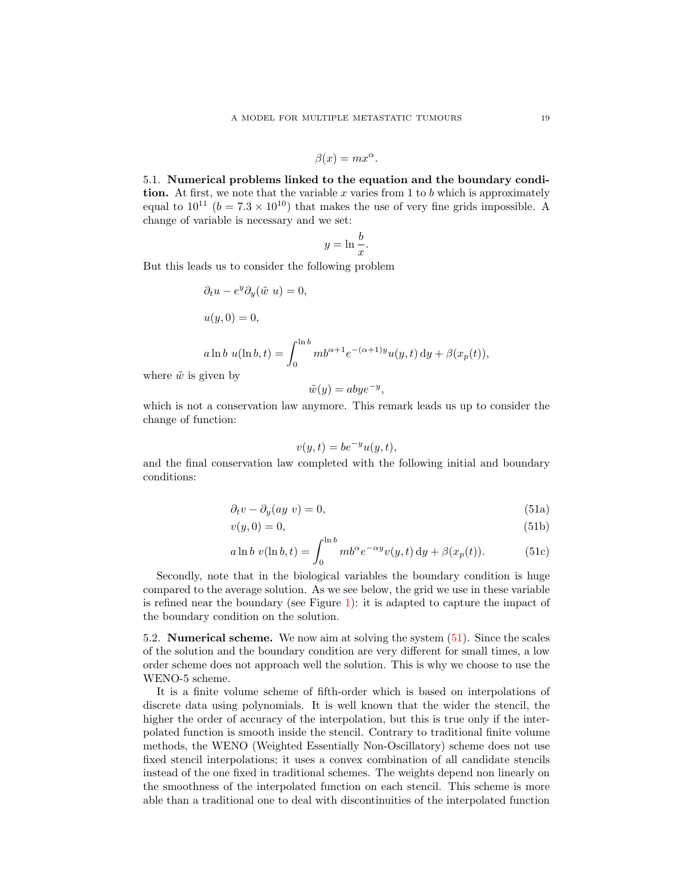$$
\beta(x) = mx^{\alpha}.
$$

<span id="page-18-0"></span>5.1. Numerical problems linked to the equation and the boundary condition. At first, we note that the variable  $x$  varies from 1 to  $b$  which is approximately equal to  $10^{11}$  ( $b = 7.3 \times 10^{10}$ ) that makes the use of very fine grids impossible. A change of variable is necessary and we set:

$$
y = \ln \frac{b}{x}.
$$

But this leads us to consider the following problem

$$
\partial_t u - e^y \partial_y(\tilde{w} u) = 0,
$$
  

$$
u(y, 0) = 0,
$$
  

$$
a \ln b \ u(\ln b, t) = \int_0^{\ln b} m b^{\alpha+1} e^{-(\alpha+1)y} u(y, t) dy + \beta(x_p(t)),
$$

where  $\tilde{w}$  is given by

$$
\tilde{w}(y) = abye^{-y},
$$

which is not a conservation law anymore. This remark leads us up to consider the change of function:

<span id="page-18-1"></span>
$$
v(y,t) = be^{-y}u(y,t),
$$

and the final conservation law completed with the following initial and boundary conditions:

$$
\partial_t v - \partial_y(ay \ v) = 0,\tag{51a}
$$

$$
v(y,0) = 0,\t\t(51b)
$$

$$
a \ln b \ v(\ln b, t) = \int_0^{\ln b} mb^{\alpha} e^{-\alpha y} v(y, t) dy + \beta(x_p(t)).
$$
 (51c)

Secondly, note that in the biological variables the boundary condition is huge compared to the average solution. As we see below, the grid we use in these variable is refined near the boundary (see Figure [1\)](#page-19-0): it is adapted to capture the impact of the boundary condition on the solution.

5.2. Numerical scheme. We now aim at solving the system [\(51\)](#page-18-0). Since the scales of the solution and the boundary condition are very different for small times, a low order scheme does not approach well the solution. This is why we choose to use the WENO-5 scheme.

It is a finite volume scheme of fifth-order which is based on interpolations of discrete data using polynomials. It is well known that the wider the stencil, the higher the order of accuracy of the interpolation, but this is true only if the interpolated function is smooth inside the stencil. Contrary to traditional finite volume methods, the WENO (Weighted Essentially Non-Oscillatory) scheme does not use fixed stencil interpolations; it uses a convex combination of all candidate stencils instead of the one fixed in traditional schemes. The weights depend non linearly on the smoothness of the interpolated function on each stencil. This scheme is more able than a traditional one to deal with discontinuities of the interpolated function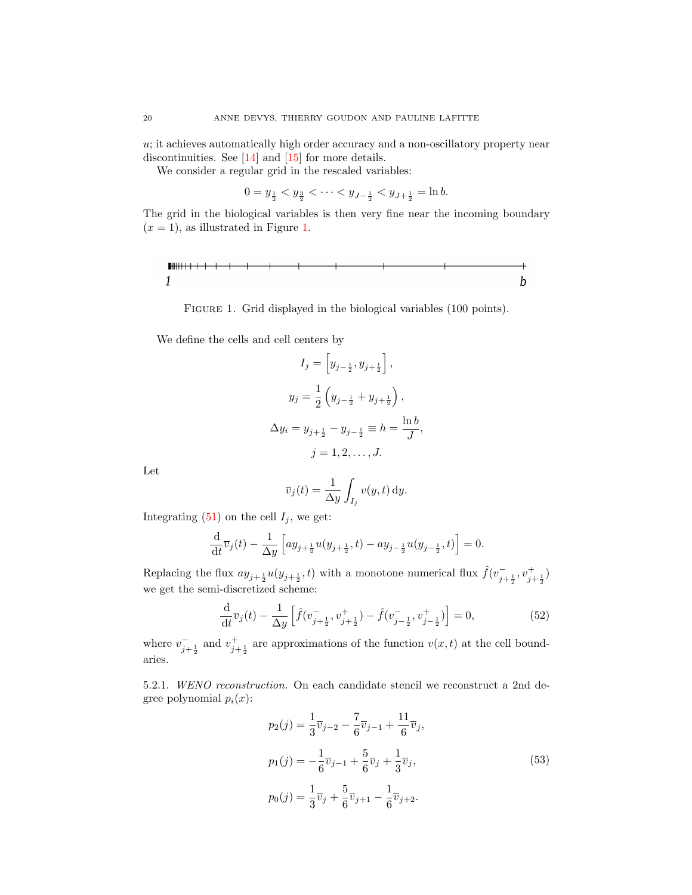$u$ ; it achieves automatically high order accuracy and a non-oscillatory property near discontinuities. See [\[14\]](#page-36-5) and [\[15\]](#page-36-6) for more details.

We consider a regular grid in the rescaled variables:

$$
0 = y_{\frac{1}{2}} < y_{\frac{3}{2}} < \dots < y_{J - \frac{1}{2}} < y_{J + \frac{1}{2}} = \ln b.
$$

The grid in the biological variables is then very fine near the incoming boundary  $(x = 1)$ , as illustrated in Figure [1.](#page-19-0)

<span id="page-19-0"></span>Figure 1. Grid displayed in the biological variables (100 points).

We define the cells and cell centers by

$$
I_j = \left[y_{j-\frac{1}{2}}, y_{j+\frac{1}{2}}\right],
$$
  
\n
$$
y_j = \frac{1}{2}\left(y_{j-\frac{1}{2}} + y_{j+\frac{1}{2}}\right),
$$
  
\n
$$
\Delta y_i = y_{j+\frac{1}{2}} - y_{j-\frac{1}{2}} \equiv h = \frac{\ln b}{J},
$$
  
\n
$$
j = 1, 2, ..., J.
$$

Let

$$
\overline{v}_j(t) = \frac{1}{\Delta y} \int_{I_j} v(y, t) \, dy.
$$

Integrating  $(51)$  on the cell  $I_j$ , we get:

$$
\frac{\mathrm{d}}{\mathrm{d}t}\overline{v}_j(t) - \frac{1}{\Delta y}\left[ay_{j+\frac{1}{2}}u(y_{j+\frac{1}{2}},t) - ay_{j-\frac{1}{2}}u(y_{j-\frac{1}{2}},t)\right] = 0.
$$

Replacing the flux  $ay_{j+\frac{1}{2}}u(y_{j+\frac{1}{2}},t)$  with a monotone numerical flux  $\hat{f}(v_{j+\frac{1}{2}}^-,v_{j+\frac{1}{2}}^+)$ we get the semi-discretized scheme:

<span id="page-19-2"></span>
$$
\frac{\mathrm{d}}{\mathrm{d}t}\overline{v}_j(t) - \frac{1}{\Delta y}\left[\hat{f}(v_{j+\frac{1}{2}}^-, v_{j+\frac{1}{2}}^+) - \hat{f}(v_{j-\frac{1}{2}}^-, v_{j-\frac{1}{2}}^+)\right] = 0,\tag{52}
$$

where  $v_{j+\frac{1}{2}}^-$  and  $v_{j+\frac{1}{2}}^+$  are approximations of the function  $v(x,t)$  at the cell boundaries.

5.2.1. WENO reconstruction. On each candidate stencil we reconstruct a 2nd degree polynomial  $p_i(x)$ :

<span id="page-19-1"></span>
$$
p_2(j) = \frac{1}{3}\overline{v}_{j-2} - \frac{7}{6}\overline{v}_{j-1} + \frac{11}{6}\overline{v}_j,
$$
  
\n
$$
p_1(j) = -\frac{1}{6}\overline{v}_{j-1} + \frac{5}{6}\overline{v}_j + \frac{1}{3}\overline{v}_j,
$$
  
\n
$$
p_0(j) = \frac{1}{3}\overline{v}_j + \frac{5}{6}\overline{v}_{j+1} - \frac{1}{6}\overline{v}_{j+2}.
$$
\n(53)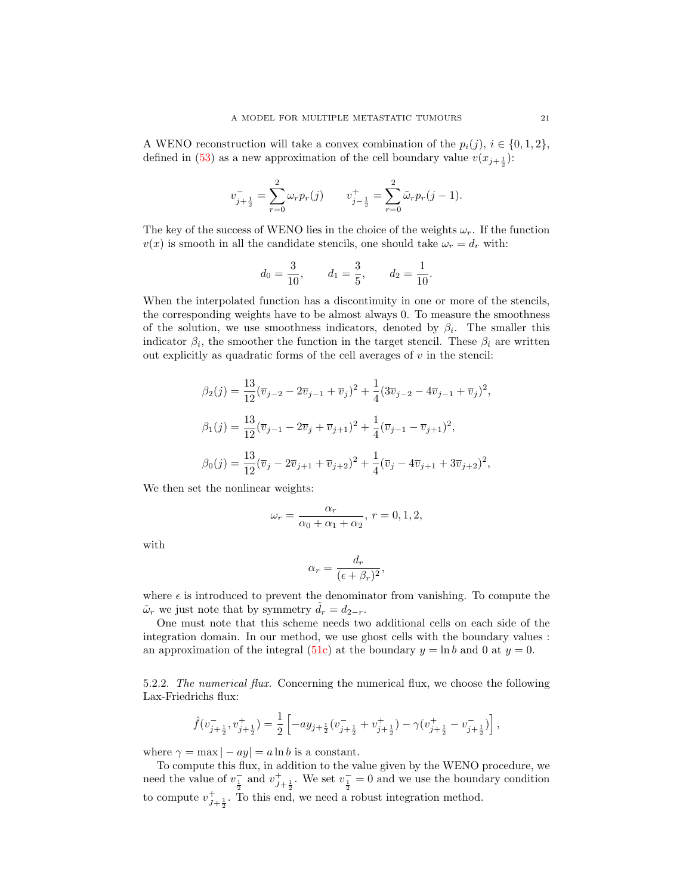A WENO reconstruction will take a convex combination of the  $p_i(j), i \in \{0, 1, 2\},$ defined in [\(53\)](#page-19-1) as a new approximation of the cell boundary value  $v(x_{j+\frac{1}{2}})$ :

$$
v_{j+\frac{1}{2}}^- = \sum_{r=0}^2 \omega_r p_r(j) \qquad v_{j-\frac{1}{2}}^+ = \sum_{r=0}^2 \tilde{\omega}_r p_r(j-1).
$$

The key of the success of WENO lies in the choice of the weights  $\omega_r$ . If the function  $v(x)$  is smooth in all the candidate stencils, one should take  $\omega_r = d_r$  with:

$$
d_0 = \frac{3}{10}
$$
,  $d_1 = \frac{3}{5}$ ,  $d_2 = \frac{1}{10}$ .

When the interpolated function has a discontinuity in one or more of the stencils, the corresponding weights have to be almost always 0. To measure the smoothness of the solution, we use smoothness indicators, denoted by  $\beta_i$ . The smaller this indicator  $\beta_i$ , the smoother the function in the target stencil. These  $\beta_i$  are written out explicitly as quadratic forms of the cell averages of  $v$  in the stencil:

$$
\beta_2(j) = \frac{13}{12} (\overline{v}_{j-2} - 2\overline{v}_{j-1} + \overline{v}_j)^2 + \frac{1}{4} (3\overline{v}_{j-2} - 4\overline{v}_{j-1} + \overline{v}_j)^2,
$$
  
\n
$$
\beta_1(j) = \frac{13}{12} (\overline{v}_{j-1} - 2\overline{v}_j + \overline{v}_{j+1})^2 + \frac{1}{4} (\overline{v}_{j-1} - \overline{v}_{j+1})^2,
$$
  
\n
$$
\beta_0(j) = \frac{13}{12} (\overline{v}_j - 2\overline{v}_{j+1} + \overline{v}_{j+2})^2 + \frac{1}{4} (\overline{v}_j - 4\overline{v}_{j+1} + 3\overline{v}_{j+2})^2,
$$

We then set the nonlinear weights:

$$
\omega_r = \frac{\alpha_r}{\alpha_0 + \alpha_1 + \alpha_2}, r = 0, 1, 2,
$$

with

$$
\alpha_r = \frac{d_r}{(\epsilon + \beta_r)^2},
$$

where  $\epsilon$  is introduced to prevent the denominator from vanishing. To compute the  $\tilde{\omega}_r$  we just note that by symmetry  $\tilde{d}_r = d_{2-r}$ .

One must note that this scheme needs two additional cells on each side of the integration domain. In our method, we use ghost cells with the boundary values : an approximation of the integral [\(51c\)](#page-18-1) at the boundary  $y = \ln b$  and 0 at  $y = 0$ .

5.2.2. The numerical flux. Concerning the numerical flux, we choose the following Lax-Friedrichs flux:

$$
\hat{f}(v_{j+\frac{1}{2}}^-,v_{j+\frac{1}{2}}^+)=\frac{1}{2}\left[-ay_{j+\frac{1}{2}}(v_{j+\frac{1}{2}}^-+v_{j+\frac{1}{2}}^+)-\gamma(v_{j+\frac{1}{2}}^+-v_{j+\frac{1}{2}}^-)\right],
$$

where  $\gamma = \max |-ay| = a \ln b$  is a constant.

To compute this flux, in addition to the value given by the WENO procedure, we need the value of  $v_{\frac{1}{2}}^-$  and  $v_{J+\frac{1}{2}}^+$ . We set  $v_{\frac{1}{2}}^- = 0$  and we use the boundary condition to compute  $v_{J+\frac{1}{2}}^+$ . To this end, we need a robust integration method.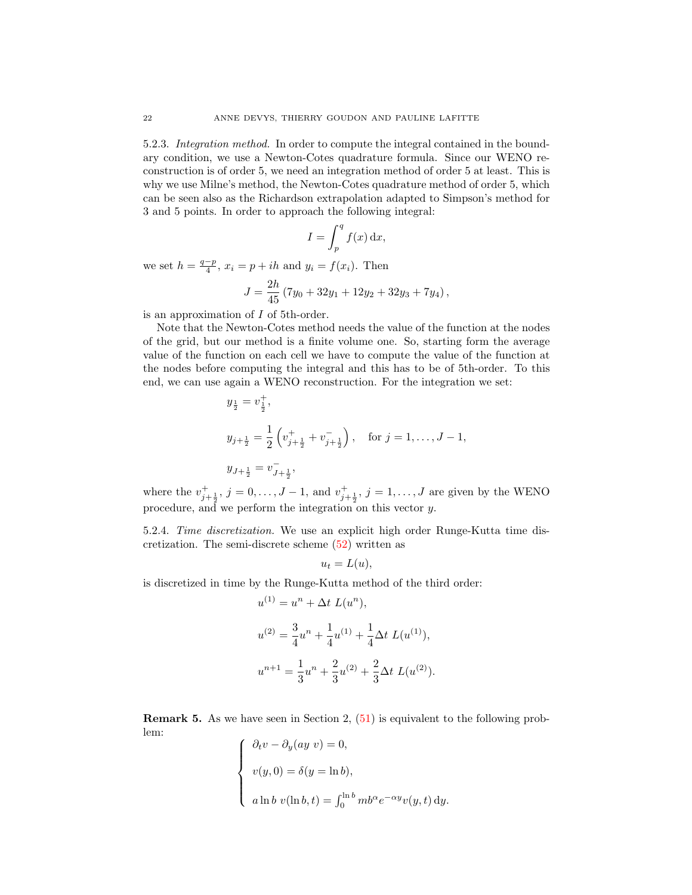5.2.3. Integration method. In order to compute the integral contained in the boundary condition, we use a Newton-Cotes quadrature formula. Since our WENO reconstruction is of order 5, we need an integration method of order 5 at least. This is why we use Milne's method, the Newton-Cotes quadrature method of order 5, which can be seen also as the Richardson extrapolation adapted to Simpson's method for 3 and 5 points. In order to approach the following integral:

$$
I = \int_p^q f(x) \, \mathrm{d}x,
$$

we set  $h = \frac{q-p}{4}$ ,  $x_i = p + ih$  and  $y_i = f(x_i)$ . Then

$$
J = \frac{2h}{45} (7y_0 + 32y_1 + 12y_2 + 32y_3 + 7y_4),
$$

is an approximation of I of 5th-order.

Note that the Newton-Cotes method needs the value of the function at the nodes of the grid, but our method is a finite volume one. So, starting form the average value of the function on each cell we have to compute the value of the function at the nodes before computing the integral and this has to be of 5th-order. To this end, we can use again a WENO reconstruction. For the integration we set:

$$
y_{\frac{1}{2}} = v_{\frac{1}{2}}^{+},
$$
  
\n
$$
y_{j+\frac{1}{2}} = \frac{1}{2} \left( v_{j+\frac{1}{2}}^{+} + v_{j+\frac{1}{2}}^{-} \right), \text{ for } j = 1, ..., J-1,
$$
  
\n
$$
y_{J+\frac{1}{2}} = v_{J+\frac{1}{2}}^{-},
$$

where the  $v_{j+\frac{1}{2}}^{+}$ ,  $j = 0, \ldots, J-1$ , and  $v_{j+\frac{1}{2}}^{+}$ ,  $j = 1, \ldots, J$  are given by the WENO procedure, and we perform the integration on this vector y.

5.2.4. Time discretization. We use an explicit high order Runge-Kutta time discretization. The semi-discrete scheme [\(52\)](#page-19-2) written as

$$
u_t = L(u),
$$

is discretized in time by the Runge-Kutta method of the third order:

$$
u^{(1)} = u^n + \Delta t \ L(u^n),
$$
  
\n
$$
u^{(2)} = \frac{3}{4}u^n + \frac{1}{4}u^{(1)} + \frac{1}{4}\Delta t \ L(u^{(1)}),
$$
  
\n
$$
u^{n+1} = \frac{1}{3}u^n + \frac{2}{3}u^{(2)} + \frac{2}{3}\Delta t \ L(u^{(2)}).
$$

Remark 5. As we have seen in Section 2, [\(51\)](#page-18-0) is equivalent to the following problem:

$$
\begin{cases}\n\partial_t v - \partial_y(ay \ v) = 0, \\
v(y, 0) = \delta(y = \ln b), \\
a \ln b \ v(\ln b, t) = \int_0^{\ln b} mb^{\alpha} e^{-\alpha y} v(y, t) dy.\n\end{cases}
$$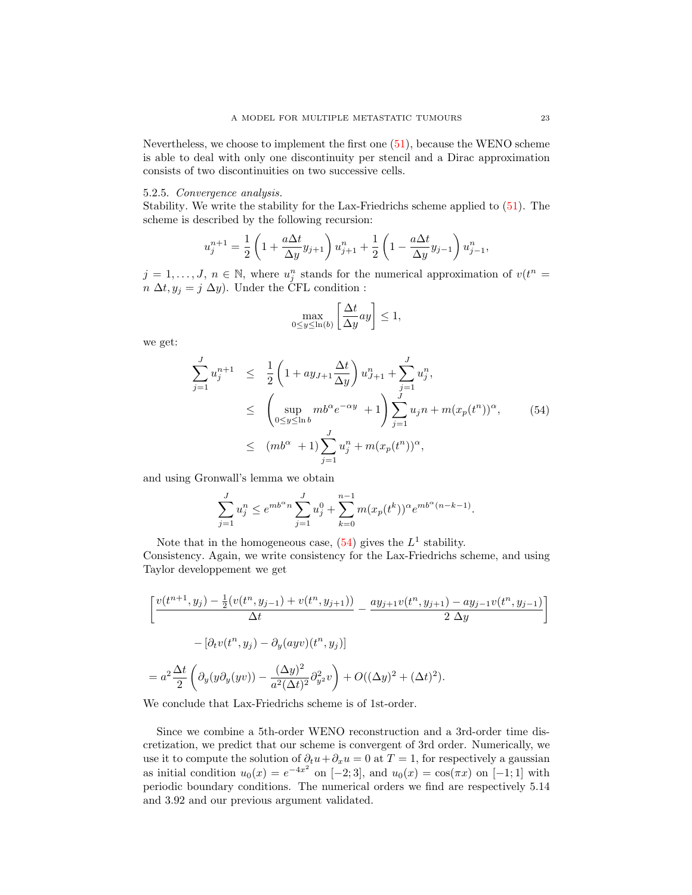Nevertheless, we choose to implement the first one [\(51\)](#page-18-0), because the WENO scheme is able to deal with only one discontinuity per stencil and a Dirac approximation consists of two discontinuities on two successive cells.

## 5.2.5. Convergence analysis.

Stability. We write the stability for the Lax-Friedrichs scheme applied to [\(51\)](#page-18-0). The scheme is described by the following recursion:

$$
u_j^{n+1} = \frac{1}{2} \left( 1 + \frac{a\Delta t}{\Delta y} y_{j+1} \right) u_{j+1}^n + \frac{1}{2} \left( 1 - \frac{a\Delta t}{\Delta y} y_{j-1} \right) u_{j-1}^n,
$$

 $j = 1, \ldots, J, n \in \mathbb{N}$ , where  $u_j^n$  stands for the numerical approximation of  $v(t^n =$  $n \Delta t, y_i = j \Delta y$ . Under the CFL condition :

$$
\max_{0 \le y \le \ln(b)} \left[ \frac{\Delta t}{\Delta y} ay \right] \le 1,
$$

we get:

<span id="page-22-0"></span>
$$
\sum_{j=1}^{J} u_j^{n+1} \leq \frac{1}{2} \left( 1 + ay_{J+1} \frac{\Delta t}{\Delta y} \right) u_{J+1}^n + \sum_{j=1}^{J} u_j^n,
$$
\n
$$
\leq \left( \sup_{0 \leq y \leq \ln b} mb^{\alpha} e^{-\alpha y} + 1 \right) \sum_{j=1}^{J} u_j n + m(x_p(t^n))^{\alpha}, \qquad (54)
$$
\n
$$
\leq (mb^{\alpha} + 1) \sum_{j=1}^{J} u_j^n + m(x_p(t^n))^{\alpha},
$$

and using Gronwall's lemma we obtain

$$
\sum_{j=1}^{J} u_j^n \le e^{m b^{\alpha} n} \sum_{j=1}^{J} u_j^0 + \sum_{k=0}^{n-1} m (x_p(t^k))^{\alpha} e^{m b^{\alpha} (n-k-1)}.
$$

Note that in the homogeneous case,  $(54)$  gives the  $L<sup>1</sup>$  stability. Consistency. Again, we write consistency for the Lax-Friedrichs scheme, and using Taylor developpement we get

$$
\left[\frac{v(t^{n+1}, y_j) - \frac{1}{2}(v(t^n, y_{j-1}) + v(t^n, y_{j+1}))}{\Delta t} - \frac{ay_{j+1}v(t^n, y_{j+1}) - ay_{j-1}v(t^n, y_{j-1})}{2\Delta y}\right]
$$
  

$$
- \left[\partial_t v(t^n, y_j) - \partial_y(ayv)(t^n, y_j)\right]
$$
  

$$
= a^2 \frac{\Delta t}{2} \left(\partial_y(y\partial_y(yv)) - \frac{(\Delta y)^2}{a^2(\Delta t)^2} \partial_{y^2}^2 v\right) + O((\Delta y)^2 + (\Delta t)^2).
$$

We conclude that Lax-Friedrichs scheme is of 1st-order.

Since we combine a 5th-order WENO reconstruction and a 3rd-order time discretization, we predict that our scheme is convergent of 3rd order. Numerically, we use it to compute the solution of  $\partial_t u + \partial_x u = 0$  at  $T = 1$ , for respectively a gaussian as initial condition  $u_0(x) = e^{-4x^2}$  on [-2;3], and  $u_0(x) = \cos(\pi x)$  on [-1;1] with periodic boundary conditions. The numerical orders we find are respectively 5.14 and 3.92 and our previous argument validated.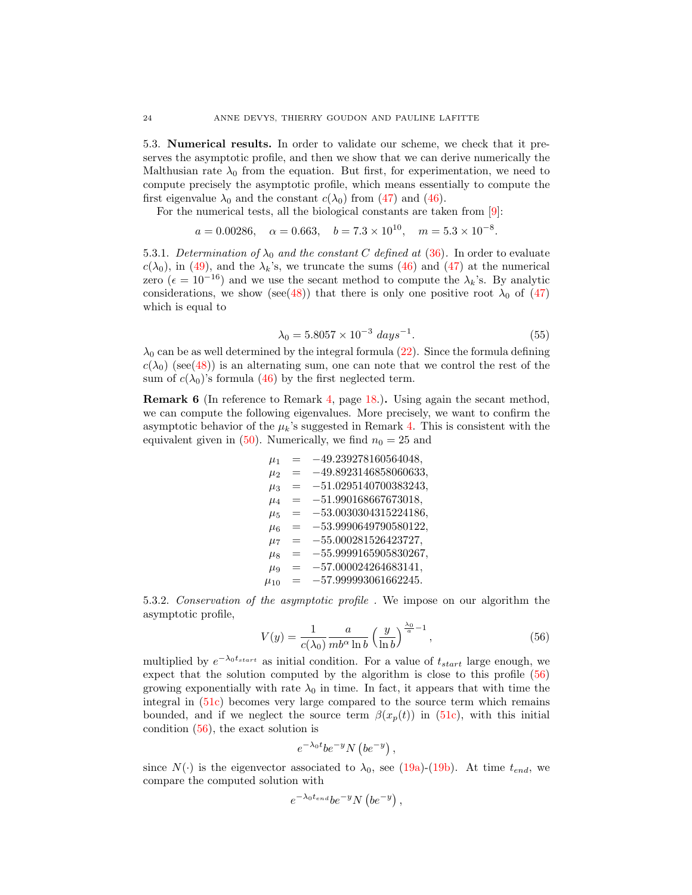5.3. Numerical results. In order to validate our scheme, we check that it preserves the asymptotic profile, and then we show that we can derive numerically the Malthusian rate  $\lambda_0$  from the equation. But first, for experimentation, we need to compute precisely the asymptotic profile, which means essentially to compute the first eigenvalue  $\lambda_0$  and the constant  $c(\lambda_0)$  from [\(47\)](#page-17-0) and [\(46\)](#page-17-2).

For the numerical tests, all the biological constants are taken from [\[9\]](#page-36-0):

$$
a = 0.00286
$$
,  $\alpha = 0.663$ ,  $b = 7.3 \times 10^{10}$ ,  $m = 5.3 \times 10^{-8}$ .

5.3.1. Determination of  $\lambda_0$  and the constant C defined at [\(36\)](#page-14-5). In order to evaluate  $c(\lambda_0)$ , in [\(49\)](#page-17-3), and the  $\lambda_k$ 's, we truncate the sums [\(46\)](#page-17-2) and [\(47\)](#page-17-0) at the numerical zero ( $\epsilon = 10^{-16}$ ) and we use the secant method to compute the  $\lambda_k$ 's. By analytic considerations, we show (see[\(48\)](#page-17-1)) that there is only one positive root  $\lambda_0$  of [\(47\)](#page-17-0) which is equal to

<span id="page-23-1"></span>
$$
\lambda_0 = 5.8057 \times 10^{-3} \; days^{-1}.\tag{55}
$$

 $\lambda_0$  can be as well determined by the integral formula [\(22\)](#page-7-6). Since the formula defining  $c(\lambda_0)$  (see[\(48\)](#page-17-1)) is an alternating sum, one can note that we control the rest of the sum of  $c(\lambda_0)$ 's formula [\(46\)](#page-17-2) by the first neglected term.

Remark 6 (In reference to Remark [4,](#page-17-4) page [18.](#page-17-4)). Using again the secant method, we can compute the following eigenvalues. More precisely, we want to confirm the asymptotic behavior of the  $\mu_k$ 's suggested in Remark [4.](#page-17-4) This is consistent with the equivalent given in [\(50\)](#page-17-5). Numerically, we find  $n_0 = 25$  and

> $\mu_1$  = -49.239278160564048,  $\mu_2$  =  $-49.8923146858060633,$  $\mu_3$  =  $-51.0295140700383243,$  $\mu_4$  =  $-51.990168667673018,$  $\mu_5$  =  $-53.0030304315224186$  $\mu_6$  = -53.9990649790580122,  $\mu_7$  = -55.000281526423727,  $\mu_8$  = -55.9999165905830267,  $\mu$ 9 =  $-57.000024264683141,$  $\mu_{10}$  = -57.999993061662245.

<span id="page-23-2"></span>5.3.2. Conservation of the asymptotic profile . We impose on our algorithm the asymptotic profile,

<span id="page-23-0"></span>
$$
V(y) = \frac{1}{c(\lambda_0)} \frac{a}{mb^\alpha \ln b} \left(\frac{y}{\ln b}\right)^{\frac{\lambda_0}{a}-1},\tag{56}
$$

multiplied by  $e^{-\lambda_0 t_{start}}$  as initial condition. For a value of  $t_{start}$  large enough, we expect that the solution computed by the algorithm is close to this profile [\(56\)](#page-23-0) growing exponentially with rate  $\lambda_0$  in time. In fact, it appears that with time the integral in [\(51c\)](#page-18-1) becomes very large compared to the source term which remains bounded, and if we neglect the source term  $\beta(x_p(t))$  in [\(51c\)](#page-18-1), with this initial condition [\(56\)](#page-23-0), the exact solution is

$$
e^{-\lambda_0 t} b e^{-y} N \left(b e^{-y}\right),
$$

since  $N(\cdot)$  is the eigenvector associated to  $\lambda_0$ , see [\(19a\)](#page-7-0)-[\(19b\)](#page-7-2). At time  $t_{end}$ , we compare the computed solution with

$$
e^{-\lambda_0 t_{end}} b e^{-y} N (b e^{-y}),
$$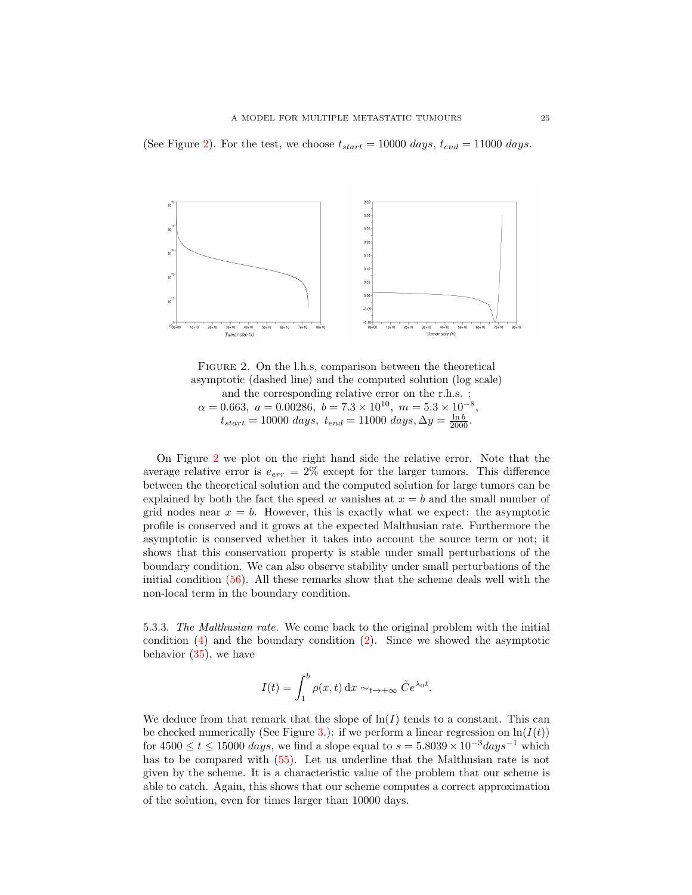(See Figure [2\)](#page-24-0). For the test, we choose  $t_{start} = 10000 \ days$ ,  $t_{end} = 11000 \ days$ .



<span id="page-24-0"></span>FIGURE 2. On the l.h.s, comparison between the theoretical asymptotic (dashed line) and the computed solution (log scale) and the corresponding relative error on the r.h.s. ;  $\alpha = 0.663, \ a = 0.00286, \ b = 7.3 \times 10^{10}, \ m = 5.3 \times 10^{-8},$  $t_{start} = 10000 \ days, \ t_{end} = 11000 \ days, \Delta y = \frac{\ln b}{2000}.$ 

On Figure [2](#page-24-0) we plot on the right hand side the relative error. Note that the average relative error is  $e_{err} = 2\%$  except for the larger tumors. This difference between the theoretical solution and the computed solution for large tumors can be explained by both the fact the speed w vanishes at  $x = b$  and the small number of grid nodes near  $x = b$ . However, this is exactly what we expect: the asymptotic profile is conserved and it grows at the expected Malthusian rate. Furthermore the asymptotic is conserved whether it takes into account the source term or not; it shows that this conservation property is stable under small perturbations of the boundary condition. We can also observe stability under small perturbations of the initial condition [\(56\)](#page-23-0). All these remarks show that the scheme deals well with the non-local term in the boundary condition.

5.3.3. The Malthusian rate. We come back to the original problem with the initial condition [\(4\)](#page-1-0) and the boundary condition [\(2\)](#page-0-0). Since we showed the asymptotic behavior [\(35\)](#page-13-0), we have

$$
I(t) = \int_1^b \rho(x, t) dx \sim_{t \to +\infty} \tilde{C} e^{\lambda_0 t}.
$$

We deduce from that remark that the slope of  $\ln(I)$  tends to a constant. This can be checked numerically (See Figure [3.](#page-25-0)): if we perform a linear regression on  $\ln(I(t))$ for  $4500 \le t \le 15000 \; days$ , we find a slope equal to  $s = 5.8039 \times 10^{-3} days^{-1}$  which has to be compared with [\(55\)](#page-23-1). Let us underline that the Malthusian rate is not given by the scheme. It is a characteristic value of the problem that our scheme is able to catch. Again, this shows that our scheme computes a correct approximation of the solution, even for times larger than 10000 days.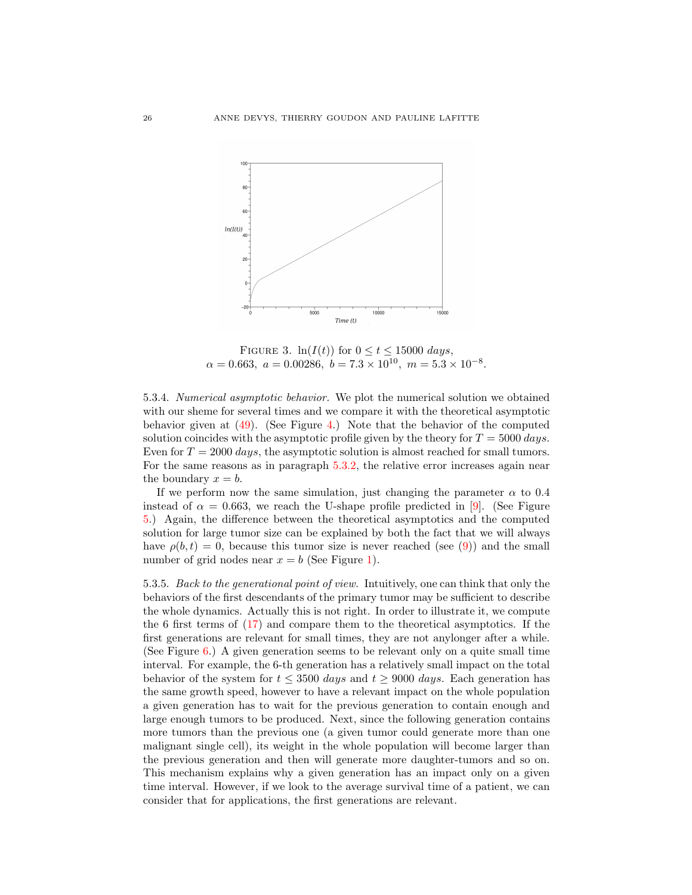

<span id="page-25-0"></span>FIGURE 3.  $ln(I(t))$  for  $0 \le t \le 15000 \ days$ ,  $\alpha = 0.663, \ a = 0.00286, \ b = 7.3 \times 10^{10}, \ m = 5.3 \times 10^{-8}.$ 

5.3.4. Numerical asymptotic behavior. We plot the numerical solution we obtained with our sheme for several times and we compare it with the theoretical asymptotic behavior given at [\(49\)](#page-17-3). (See Figure [4.](#page-26-0)) Note that the behavior of the computed solution coincides with the asymptotic profile given by the theory for  $T = 5000 \, days$ . Even for  $T = 2000 \ days$ , the asymptotic solution is almost reached for small tumors. For the same reasons as in paragraph [5.3.2,](#page-23-2) the relative error increases again near the boundary  $x = b$ .

If we perform now the same simulation, just changing the parameter  $\alpha$  to 0.4 instead of  $\alpha = 0.663$ , we reach the U-shape profile predicted in [\[9\]](#page-36-0). (See Figure [5.](#page-27-0)) Again, the difference between the theoretical asymptotics and the computed solution for large tumor size can be explained by both the fact that we will always have  $\rho(b, t) = 0$ , because this tumor size is never reached (see [\(9\)](#page-1-6)) and the small number of grid nodes near  $x = b$  (See Figure [1\)](#page-19-0).

5.3.5. Back to the generational point of view. Intuitively, one can think that only the behaviors of the first descendants of the primary tumor may be sufficient to describe the whole dynamics. Actually this is not right. In order to illustrate it, we compute the 6 first terms of [\(17\)](#page-6-1) and compare them to the theoretical asymptotics. If the first generations are relevant for small times, they are not anylonger after a while. (See Figure [6.](#page-28-0)) A given generation seems to be relevant only on a quite small time interval. For example, the 6-th generation has a relatively small impact on the total behavior of the system for  $t \leq 3500 \; days$  and  $t \geq 9000 \; days$ . Each generation has the same growth speed, however to have a relevant impact on the whole population a given generation has to wait for the previous generation to contain enough and large enough tumors to be produced. Next, since the following generation contains more tumors than the previous one (a given tumor could generate more than one malignant single cell), its weight in the whole population will become larger than the previous generation and then will generate more daughter-tumors and so on. This mechanism explains why a given generation has an impact only on a given time interval. However, if we look to the average survival time of a patient, we can consider that for applications, the first generations are relevant.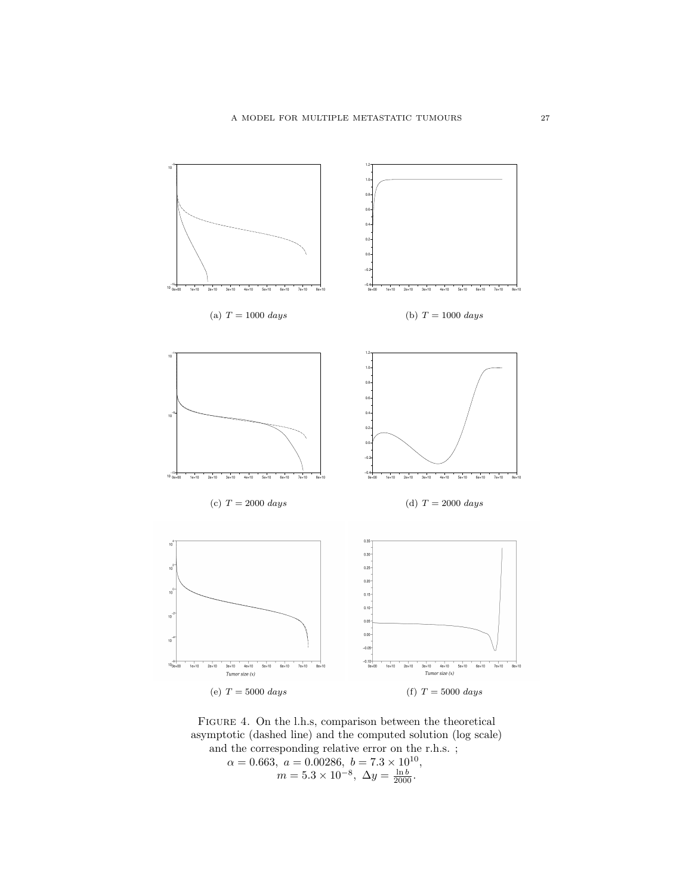

FIGURE 4. On the l.h.s, comparison between the theoretical asymptotic (dashed line) and the computed solution (log scale) and the corresponding relative error on the r.h.s. ;  $\alpha = 0.663, \ a = 0.00286, \ b = 7.3 \times 10^{10},$ 

<span id="page-26-0"></span> $m = 5.3 \times 10^{-8}, \ \Delta y = \frac{\ln b}{2000}.$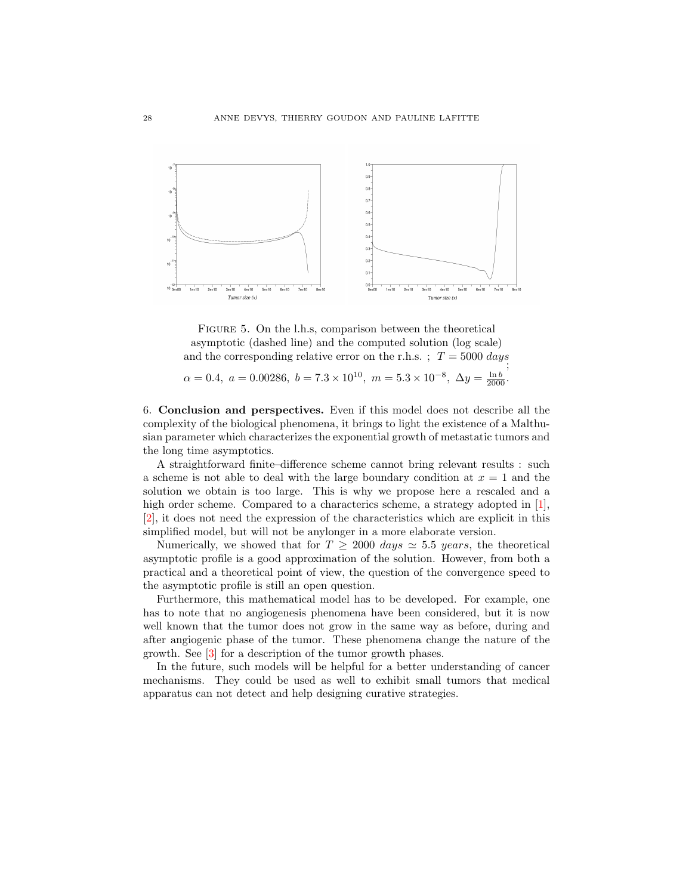

<span id="page-27-0"></span>FIGURE 5. On the l.h.s, comparison between the theoretical asymptotic (dashed line) and the computed solution (log scale) and the corresponding relative error on the r.h.s. ;  $T = 5000 \; days$ ;  $\alpha = 0.4, \ a = 0.00286, \ b = 7.3 \times 10^{10}, \ m = 5.3 \times 10^{-8}, \ \Delta y = \frac{\ln b}{2000}.$ 

6. Conclusion and perspectives. Even if this model does not describe all the complexity of the biological phenomena, it brings to light the existence of a Malthusian parameter which characterizes the exponential growth of metastatic tumors and the long time asymptotics.

A straightforward finite–difference scheme cannot bring relevant results : such a scheme is not able to deal with the large boundary condition at  $x = 1$  and the solution we obtain is too large. This is why we propose here a rescaled and a high order scheme. Compared to a characterics scheme, a strategy adopted in [\[1\]](#page-35-4), [\[2\]](#page-35-3), it does not need the expression of the characteristics which are explicit in this simplified model, but will not be anylonger in a more elaborate version.

Numerically, we showed that for  $T \ge 2000 \; days \simeq 5.5 \; years$ , the theoretical asymptotic profile is a good approximation of the solution. However, from both a practical and a theoretical point of view, the question of the convergence speed to the asymptotic profile is still an open question.

Furthermore, this mathematical model has to be developed. For example, one has to note that no angiogenesis phenomena have been considered, but it is now well known that the tumor does not grow in the same way as before, during and after angiogenic phase of the tumor. These phenomena change the nature of the growth. See [\[3\]](#page-35-6) for a description of the tumor growth phases.

In the future, such models will be helpful for a better understanding of cancer mechanisms. They could be used as well to exhibit small tumors that medical apparatus can not detect and help designing curative strategies.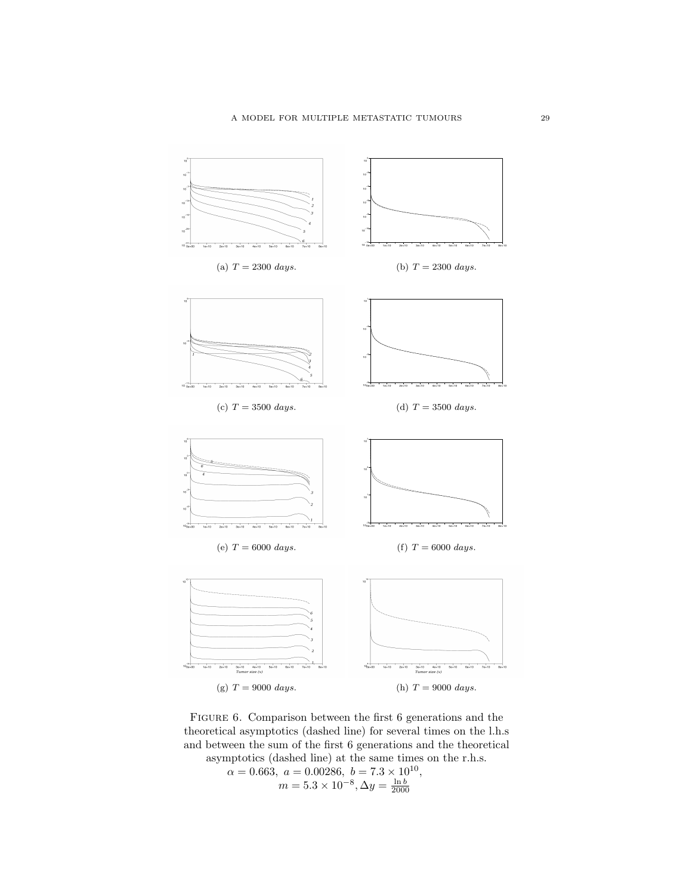

FIGURE 6. Comparison between the first 6 generations and the theoretical asymptotics (dashed line) for several times on the l.h.s and between the sum of the first 6 generations and the theoretical asymptotics (dashed line) at the same times on the r.h.s.

<span id="page-28-0"></span> $\alpha = 0.663, \ a = 0.00286, \ b = 7.3 \times 10^{10},$  $m = 5.3 \times 10^{-8}, \Delta y = \frac{\ln b}{2000}$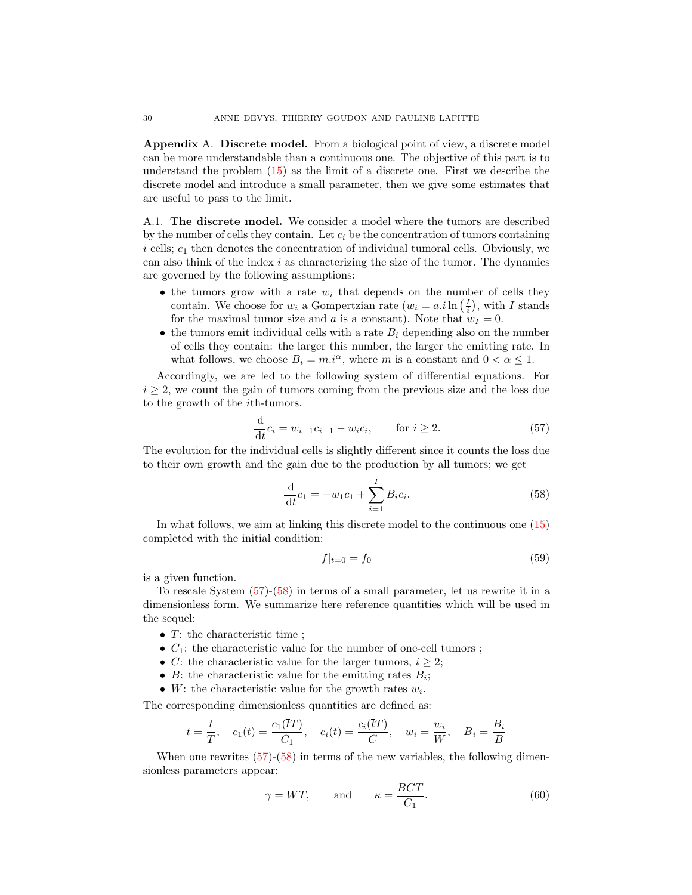Appendix A. Discrete model. From a biological point of view, a discrete model can be more understandable than a continuous one. The objective of this part is to understand the problem [\(15\)](#page-4-2) as the limit of a discrete one. First we describe the discrete model and introduce a small parameter, then we give some estimates that are useful to pass to the limit.

A.1. The discrete model. We consider a model where the tumors are described by the number of cells they contain. Let  $c_i$  be the concentration of tumors containing  $i$  cells;  $c_1$  then denotes the concentration of individual tumoral cells. Obviously, we can also think of the index  $i$  as characterizing the size of the tumor. The dynamics are governed by the following assumptions:

- the tumors grow with a rate  $w_i$  that depends on the number of cells they contain. We choose for  $w_i$  a Gompertzian rate  $(w_i = a.i \ln(\frac{I}{i}), \text{ with } I \text{ stands})$ for the maximal tumor size and a is a constant). Note that  $w_I = 0$ .
- the tumors emit individual cells with a rate  $B_i$  depending also on the number of cells they contain: the larger this number, the larger the emitting rate. In what follows, we choose  $B_i = m.i^{\alpha}$ , where m is a constant and  $0 < \alpha \leq 1$ .

Accordingly, we are led to the following system of differential equations. For  $i \geq 2$ , we count the gain of tumors coming from the previous size and the loss due to the growth of the ith-tumors.

<span id="page-29-0"></span>
$$
\frac{d}{dt}c_i = w_{i-1}c_{i-1} - w_ic_i, \quad \text{for } i \ge 2.
$$
 (57)

The evolution for the individual cells is slightly different since it counts the loss due to their own growth and the gain due to the production by all tumors; we get

<span id="page-29-1"></span>
$$
\frac{\mathrm{d}}{\mathrm{d}t}c_1 = -w_1c_1 + \sum_{i=1}^{I} B_ic_i.
$$
\n(58)

In what follows, we aim at linking this discrete model to the continuous one [\(15\)](#page-4-2) completed with the initial condition:

<span id="page-29-3"></span>
$$
f|_{t=0} = f_0 \tag{59}
$$

is a given function.

To rescale System [\(57\)](#page-29-0)-[\(58\)](#page-29-1) in terms of a small parameter, let us rewrite it in a dimensionless form. We summarize here reference quantities which will be used in the sequel:

- $T:$  the characteristic time ;
- $C_1$ : the characteristic value for the number of one-cell tumors;
- C: the characteristic value for the larger tumors,  $i \geq 2$ ;
- $B$ : the characteristic value for the emitting rates  $B_i$ ;
- W: the characteristic value for the growth rates  $w_i$ .

The corresponding dimensionless quantities are defined as:

$$
\overline{t} = \frac{t}{T}, \quad \overline{c}_1(\overline{t}) = \frac{c_1(\overline{t})}{C_1}, \quad \overline{c}_i(\overline{t}) = \frac{c_i(\overline{t})}{C}, \quad \overline{w}_i = \frac{w_i}{W}, \quad \overline{B}_i = \frac{B_i}{B}
$$

When one rewrites  $(57)-(58)$  $(57)-(58)$  $(57)-(58)$  in terms of the new variables, the following dimensionless parameters appear:

<span id="page-29-2"></span>
$$
\gamma = WT
$$
, and  $\kappa = \frac{BCT}{C_1}$ . (60)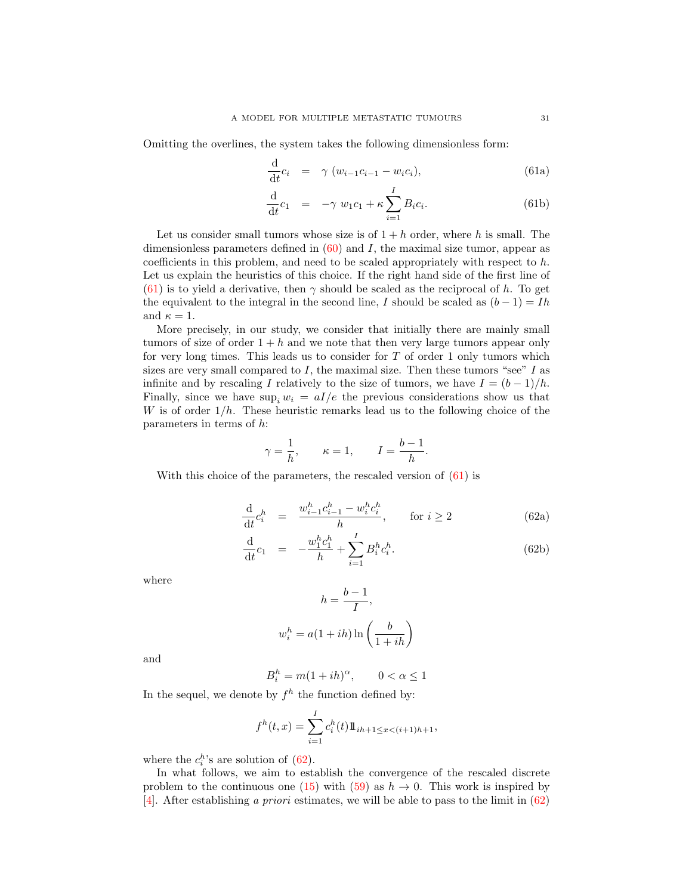Omitting the overlines, the system takes the following dimensionless form:

$$
\frac{\mathrm{d}}{\mathrm{d}t}c_i = \gamma (w_{i-1}c_{i-1} - w_i c_i), \qquad (61a)
$$

<span id="page-30-0"></span>
$$
\frac{d}{dt}c_1 = -\gamma w_1c_1 + \kappa \sum_{i=1}^{I} B_i c_i.
$$
 (61b)

Let us consider small tumors whose size is of  $1 + h$  order, where h is small. The dimensionless parameters defined in  $(60)$  and I, the maximal size tumor, appear as coefficients in this problem, and need to be scaled appropriately with respect to  $h$ . Let us explain the heuristics of this choice. If the right hand side of the first line of [\(61\)](#page-29-2) is to yield a derivative, then  $\gamma$  should be scaled as the reciprocal of h. To get the equivalent to the integral in the second line, I should be scaled as  $(b-1) = Ih$ and  $\kappa = 1$ .

More precisely, in our study, we consider that initially there are mainly small tumors of size of order  $1 + h$  and we note that then very large tumors appear only for very long times. This leads us to consider for  $T$  of order 1 only tumors which sizes are very small compared to  $I$ , the maximal size. Then these tumors "see"  $I$  as infinite and by rescaling I relatively to the size of tumors, we have  $I = (b-1)/h$ . Finally, since we have  $\sup_i w_i = aI/e$  the previous considerations show us that W is of order  $1/h$ . These heuristic remarks lead us to the following choice of the parameters in terms of h:

$$
\gamma = \frac{1}{h}, \qquad \kappa = 1, \qquad I = \frac{b-1}{h}.
$$

With this choice of the parameters, the rescaled version of  $(61)$  is

$$
\frac{d}{dt}c_i^h = \frac{w_{i-1}^h c_{i-1}^h - w_i^h c_i^h}{h}, \quad \text{for } i \ge 2
$$
\n(62a)

$$
\frac{\mathrm{d}}{\mathrm{d}t}c_1 = -\frac{w_1^h c_1^h}{h} + \sum_{i=1}^I B_i^h c_i^h. \tag{62b}
$$

where

$$
h = \frac{b-1}{I},
$$
  

$$
w_i^h = a(1+ih)\ln\left(\frac{b}{1+ih}\right)
$$

and

$$
B_i^h = m(1+ih)^{\alpha}, \qquad 0 < \alpha \le 1
$$

In the sequel, we denote by  $f^h$  the function defined by:

$$
f^{h}(t,x) = \sum_{i=1}^{I} c_{i}^{h}(t) 1\!\!1_{ih+1 \leq x < (i+1)h+1},
$$

where the  $c_i^h$ 's are solution of  $(62)$ .

In what follows, we aim to establish the convergence of the rescaled discrete problem to the continuous one [\(15\)](#page-4-2) with [\(59\)](#page-29-3) as  $h \to 0$ . This work is inspired by [\[4\]](#page-35-7). After establishing a priori estimates, we will be able to pass to the limit in  $(62)$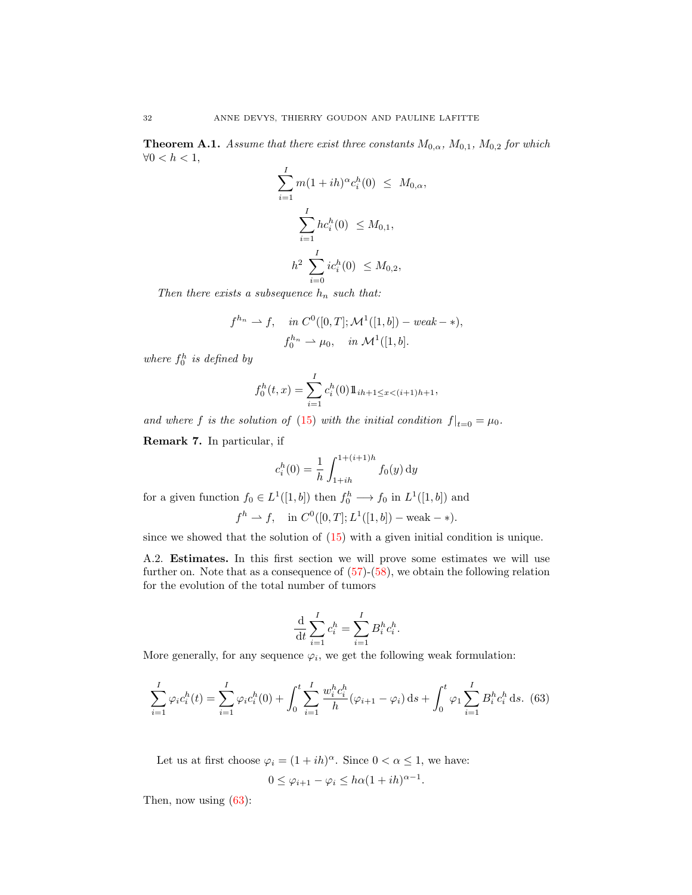<span id="page-31-1"></span>**Theorem A.1.** Assume that there exist three constants  $M_{0,\alpha}$ ,  $M_{0,1}$ ,  $M_{0,2}$  for which  $\forall 0 < h < 1,$ 

$$
\sum_{i=1}^{I} m(1+ih)^{\alpha} c_i^h(0) \leq M_{0,\alpha},
$$
  

$$
\sum_{i=1}^{I} hc_i^h(0) \leq M_{0,1},
$$
  

$$
h^2 \sum_{i=0}^{I} ic_i^h(0) \leq M_{0,2},
$$

Then there exists a subsequence  $h_n$  such that:

$$
f^{h_n} \rightharpoonup f, \quad in \ C^0([0, T]; \mathcal{M}^1([1, b]) - weak - *),
$$
  

$$
f_0^{h_n} \rightharpoonup \mu_0, \quad in \ \mathcal{M}^1([1, b].
$$

where  $f_0^h$  is defined by

$$
f_0^h(t, x) = \sum_{i=1}^I c_i^h(0) 1\!\!1_{ih+1 \leq x < (i+1)h+1},
$$

and where f is the solution of [\(15\)](#page-4-2) with the initial condition  $f|_{t=0} = \mu_0$ .

Remark 7. In particular, if

$$
c_i^h(0) = \frac{1}{h} \int_{1+ih}^{1+(i+1)h} f_0(y) \, dy
$$

for a given function  $f_0 \in L^1([1, b])$  then  $f_0^h \longrightarrow f_0$  in  $L^1([1, b])$  and

$$
f^h \to f
$$
, in  $C^0([0, T]; L^1([1, b]) - \text{weak} - *$ ).

since we showed that the solution of [\(15\)](#page-4-2) with a given initial condition is unique.

A.2. Estimates. In this first section we will prove some estimates we will use further on. Note that as a consequence of  $(57)-(58)$  $(57)-(58)$  $(57)-(58)$ , we obtain the following relation for the evolution of the total number of tumors

$$
\frac{\mathrm{d}}{\mathrm{d}t}\sum_{i=1}^I c_i^h = \sum_{i=1}^I B_i^h c_i^h.
$$

More generally, for any sequence  $\varphi_i$ , we get the following weak formulation:

<span id="page-31-0"></span>
$$
\sum_{i=1}^{I} \varphi_i c_i^h(t) = \sum_{i=1}^{I} \varphi_i c_i^h(0) + \int_0^t \sum_{i=1}^{I} \frac{w_i^h c_i^h}{h} (\varphi_{i+1} - \varphi_i) \, ds + \int_0^t \varphi_1 \sum_{i=1}^{I} B_i^h c_i^h \, ds. \tag{63}
$$

Let us at first choose  $\varphi_i = (1 + ih)^{\alpha}$ . Since  $0 < \alpha \leq 1$ , we have:

$$
0 \leq \varphi_{i+1} - \varphi_i \leq h\alpha (1+ih)^{\alpha-1}.
$$

Then, now using  $(63)$ :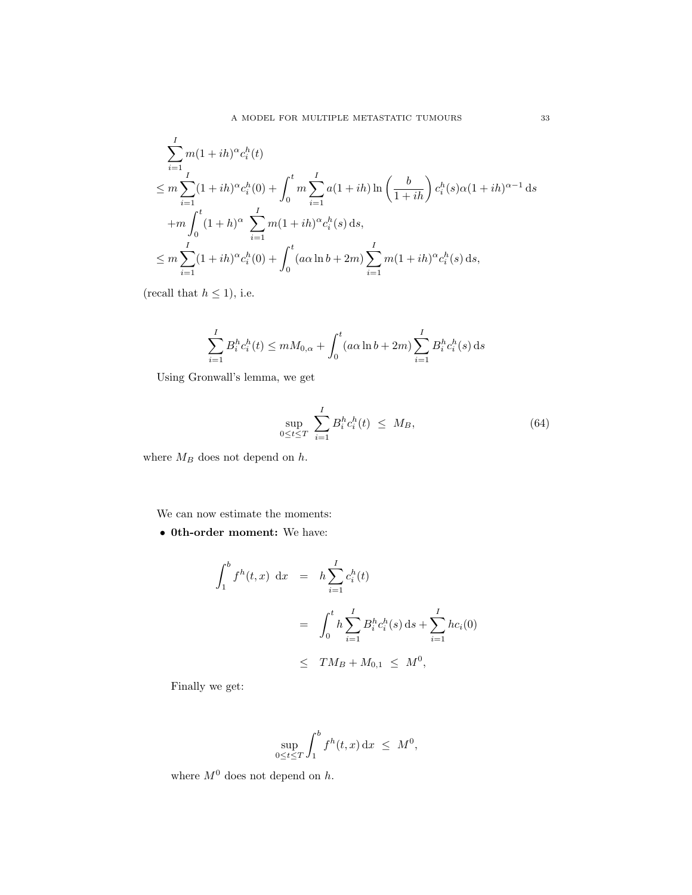$$
\sum_{i=1}^{I} m(1+ih)^{\alpha} c_i^h(t)
$$
\n
$$
\leq m \sum_{i=1}^{I} (1+ih)^{\alpha} c_i^h(0) + \int_0^t m \sum_{i=1}^{I} a(1+ih) \ln\left(\frac{b}{1+ih}\right) c_i^h(s) \alpha (1+ih)^{\alpha-1} ds
$$
\n
$$
+ m \int_0^t (1+h)^{\alpha} \sum_{i=1}^{I} m(1+ih)^{\alpha} c_i^h(s) ds,
$$
\n
$$
\leq m \sum_{i=1}^{I} (1+ih)^{\alpha} c_i^h(0) + \int_0^t (a\alpha \ln b + 2m) \sum_{i=1}^{I} m(1+ih)^{\alpha} c_i^h(s) ds,
$$

(recall that  $h \leq 1$ ), i.e.

$$
\sum_{i=1}^{I} B_i^h c_i^h(t) \leq m M_{0,\alpha} + \int_0^t (a\alpha \ln b + 2m) \sum_{i=1}^{I} B_i^h c_i^h(s) ds
$$

Using Gronwall's lemma, we get

<span id="page-32-0"></span>
$$
\sup_{0\leq t\leq T} \sum_{i=1}^{I} B_i^h c_i^h(t) \leq M_B,
$$
\n(64)

where  ${\cal M}_B$  does not depend on  $h.$ 

We can now estimate the moments:

• 0th-order moment: We have:

$$
\int_{1}^{b} f^{h}(t,x) dx = h \sum_{i=1}^{I} c_{i}^{h}(t)
$$
  
= 
$$
\int_{0}^{t} h \sum_{i=1}^{I} B_{i}^{h} c_{i}^{h}(s) ds + \sum_{i=1}^{I} h c_{i}(0)
$$
  

$$
\leq TM_{B} + M_{0,1} \leq M^{0},
$$

Finally we get:

$$
\sup_{0\leq t\leq T}\int_1^b f^h(t,x)\,\mathrm{d} x\ \leq\ M^0,
$$

where  ${\cal M}^0$  does not depend on  $h.$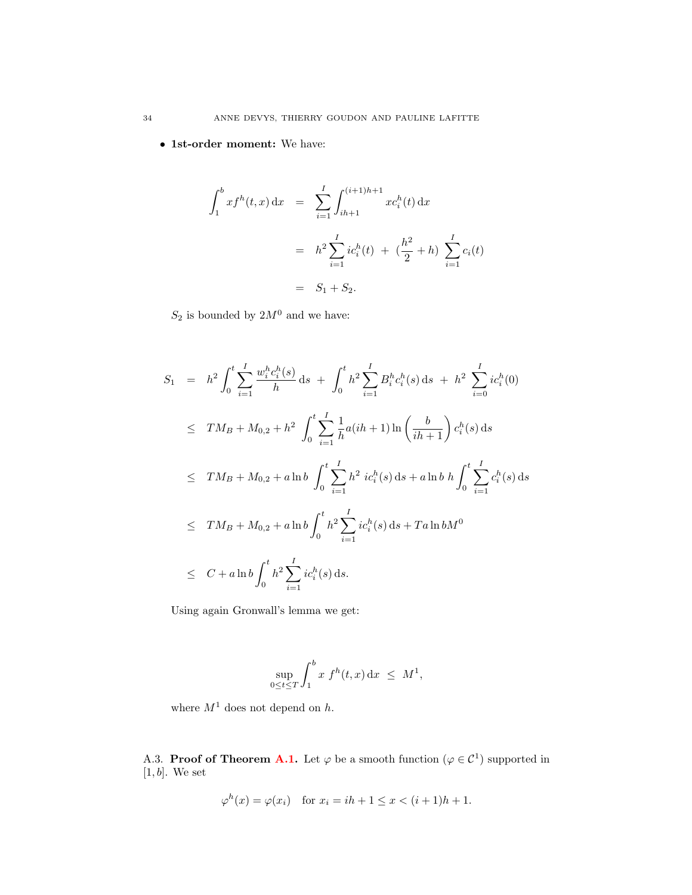• 1st-order moment: We have:

$$
\int_{1}^{b} x f^{h}(t, x) dx = \sum_{i=1}^{I} \int_{ih+1}^{(i+1)h+1} x c_{i}^{h}(t) dx
$$

$$
= h^{2} \sum_{i=1}^{I} i c_{i}^{h}(t) + (\frac{h^{2}}{2} + h) \sum_{i=1}^{I} c_{i}(t)
$$

$$
= S_{1} + S_{2}.
$$

 $S_2$  is bounded by  $2M^0$  and we have:

$$
S_{1} = h^{2} \int_{0}^{t} \sum_{i=1}^{I} \frac{w_{i}^{h} c_{i}^{h}(s)}{h} ds + \int_{0}^{t} h^{2} \sum_{i=1}^{I} B_{i}^{h} c_{i}^{h}(s) ds + h^{2} \sum_{i=0}^{I} i c_{i}^{h}(0)
$$
  
\n
$$
\leq TM_{B} + M_{0,2} + h^{2} \int_{0}^{t} \sum_{i=1}^{I} \frac{1}{h} a(ih+1) \ln \left(\frac{b}{ih+1}\right) c_{i}^{h}(s) ds
$$
  
\n
$$
\leq TM_{B} + M_{0,2} + a \ln b \int_{0}^{t} \sum_{i=1}^{I} h^{2} i c_{i}^{h}(s) ds + a \ln b h \int_{0}^{t} \sum_{i=1}^{I} c_{i}^{h}(s) ds
$$
  
\n
$$
\leq TM_{B} + M_{0,2} + a \ln b \int_{0}^{t} h^{2} \sum_{i=1}^{I} i c_{i}^{h}(s) ds + T a \ln b M^{0}
$$
  
\n
$$
\leq C + a \ln b \int_{0}^{t} h^{2} \sum_{i=1}^{I} i c_{i}^{h}(s) ds.
$$

Using again Gronwall's lemma we get:

$$
\sup_{0\leq t\leq T}\int_1^b x f^h(t,x) \, \mathrm{d}x \ \leq \ M^1,
$$

where  $M^1$  does not depend on  $h$ .

A.3. Proof of Theorem [A.1.](#page-31-1) Let  $\varphi$  be a smooth function  $(\varphi \in C^1)$  supported in  $[1, b]$ . We set

$$
\varphi^{h}(x) = \varphi(x_{i})
$$
 for  $x_{i} = ih + 1 \leq x < (i + 1)h + 1$ .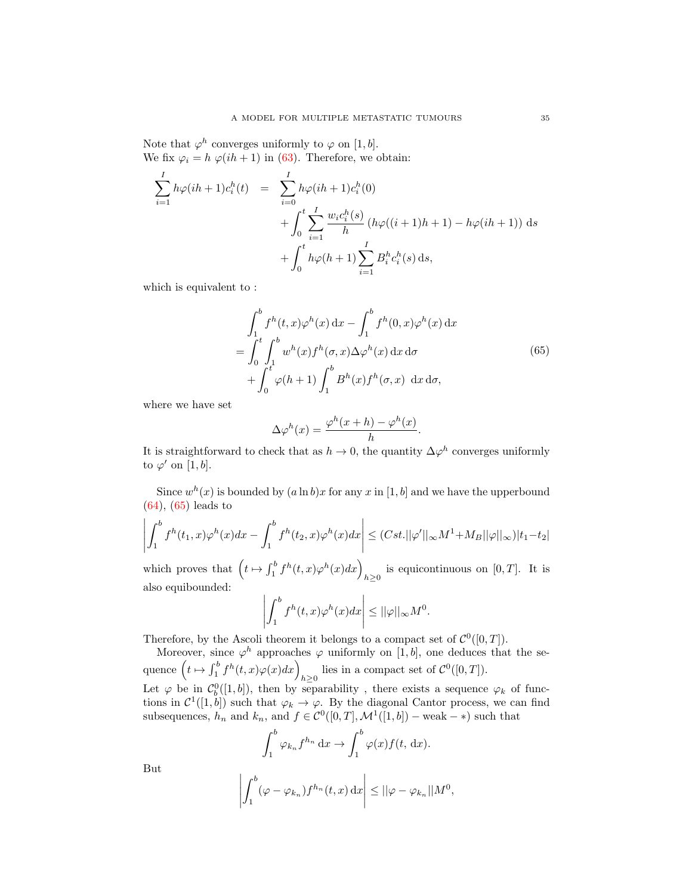Note that  $\varphi^h$  converges uniformly to  $\varphi$  on [1, b]. We fix  $\varphi_i = h \varphi(ih + 1)$  in [\(63\)](#page-31-0). Therefore, we obtain:

$$
\sum_{i=1}^{I} h\varphi(ih+1)c_i^h(t) = \sum_{i=0}^{I} h\varphi(ih+1)c_i^h(0) + \int_0^t \sum_{i=1}^{I} \frac{w_i c_i^h(s)}{h} \left( h\varphi((i+1)h+1) - h\varphi(ih+1) \right) ds + \int_0^t h\varphi(h+1) \sum_{i=1}^{I} B_i^h c_i^h(s) ds,
$$

which is equivalent to :

<span id="page-34-0"></span>
$$
\int_{1}^{b} f^{h}(t,x)\varphi^{h}(x) dx - \int_{1}^{b} f^{h}(0,x)\varphi^{h}(x) dx
$$
  
= 
$$
\int_{0}^{t} \int_{1}^{b} w^{h}(x)f^{h}(\sigma, x)\Delta \varphi^{h}(x) dx d\sigma
$$
  
+ 
$$
\int_{0}^{t} \varphi(h+1) \int_{1}^{b} B^{h}(x)f^{h}(\sigma, x) dx d\sigma,
$$
 (65)

where we have set

$$
\Delta \varphi^h(x) = \frac{\varphi^h(x+h) - \varphi^h(x)}{h}.
$$

It is straightforward to check that as  $h \to 0$ , the quantity  $\Delta \varphi^h$  converges uniformly to  $\varphi'$  on [1, b].

Since  $w^h(x)$  is bounded by  $(a \ln b)x$  for any x in [1, b] and we have the upperbound [\(64\)](#page-32-0), [\(65\)](#page-34-0) leads to

$$
\left| \int_1^b f^h(t_1, x) \varphi^h(x) dx - \int_1^b f^h(t_2, x) \varphi^h(x) dx \right| \leq (Cst. ||\varphi'||_{\infty} M^1 + M_B ||\varphi||_{\infty}) |t_1 - t_2|
$$

which proves that  $\left(t \mapsto \int_1^b f^h(t,x) \varphi^h(x) dx\right)_{h \geq 0}$  is equicontinuous on  $[0, T]$ . It is also equibounded:

$$
\left| \int_1^b f^h(t,x) \varphi^h(x) dx \right| \le ||\varphi||_{\infty} M^0.
$$

Therefore, by the Ascoli theorem it belongs to a compact set of  $\mathcal{C}^0([0,T])$ .

Moreover, since  $\varphi^h$  approaches  $\varphi$  uniformly on [1, b], one deduces that the sequence  $\left(t \mapsto \int_1^b f^h(t,x)\varphi(x)dx\right)_{h\geq 0}$  lies in a compact set of  $\mathcal{C}^0([0,T])$ .

Let  $\varphi$  be in  $\mathcal{C}_b^0([1,b])$ , then by separability, there exists a sequence  $\varphi_k$  of functions in  $\mathcal{C}^1([1,b])$  such that  $\varphi_k \to \varphi$ . By the diagonal Cantor process, we can find subsequences,  $h_n$  and  $k_n$ , and  $f \in C^0([0,T], \mathcal{M}^1([1, b])$  – weak – \*) such that

$$
\int_1^b \varphi_{k_n} f^{h_n} dx \to \int_1^b \varphi(x) f(t, dx).
$$

But

$$
\left| \int_1^b (\varphi - \varphi_{k_n}) f^{h_n}(t, x) \, dx \right| \leq ||\varphi - \varphi_{k_n}||M^0,
$$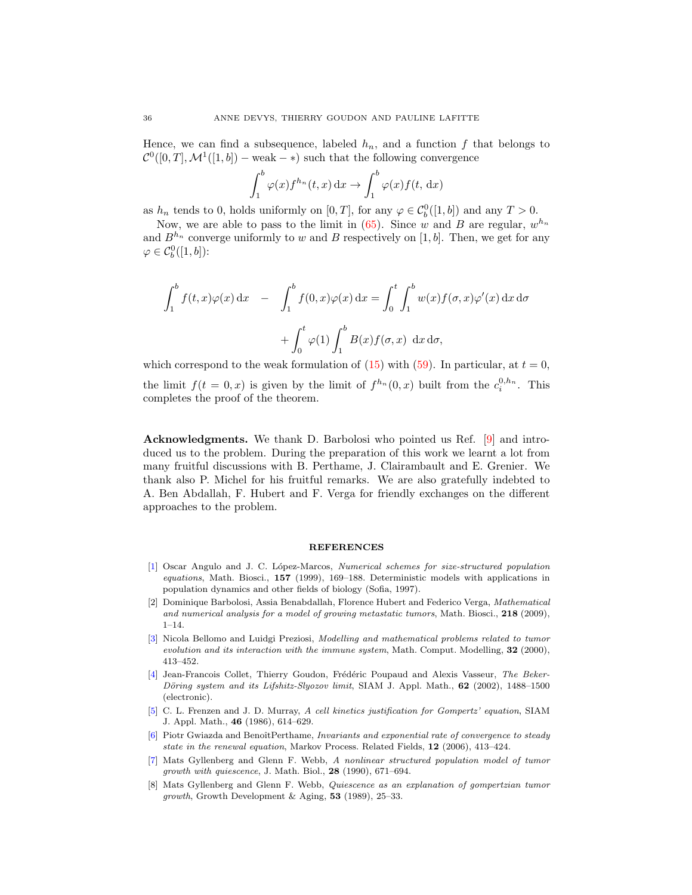Hence, we can find a subsequence, labeled  $h_n$ , and a function f that belongs to  $\mathcal{C}^0([0,T], \mathcal{M}^1([1,b]) - \text{weak} - *)$  such that the following convergence

$$
\int_1^b \varphi(x) f^{h_n}(t, x) \, dx \to \int_1^b \varphi(x) f(t, dx)
$$

as  $h_n$  tends to 0, holds uniformly on  $[0, T]$ , for any  $\varphi \in C_b^0([1, b])$  and any  $T > 0$ .

Now, we are able to pass to the limit in  $(65)$ . Since w and B are regular,  $w^{h_n}$ and  $B^{h_n}$  converge uniformly to w and B respectively on [1, b]. Then, we get for any  $\varphi \in C_b^0([1,b])$ :

$$
\int_{1}^{b} f(t,x)\varphi(x) dx = \int_{1}^{b} f(0,x)\varphi(x) dx = \int_{0}^{t} \int_{1}^{b} w(x)f(\sigma, x)\varphi'(x) dx d\sigma
$$

$$
+ \int_{0}^{t} \varphi(1) \int_{1}^{b} B(x)f(\sigma, x) dx d\sigma,
$$

which correspond to the weak formulation of  $(15)$  with  $(59)$ . In particular, at  $t = 0$ , the limit  $f(t = 0, x)$  is given by the limit of  $f^{h_n}(0, x)$  built from the  $c_i^{0, h_n}$ . This completes the proof of the theorem.

Acknowledgments. We thank D. Barbolosi who pointed us Ref. [\[9\]](#page-36-0) and introduced us to the problem. During the preparation of this work we learnt a lot from many fruitful discussions with B. Perthame, J. Clairambault and E. Grenier. We thank also P. Michel for his fruitful remarks. We are also gratefully indebted to A. Ben Abdallah, F. Hubert and F. Verga for friendly exchanges on the different approaches to the problem.

#### REFERENCES

- <span id="page-35-4"></span>[\[1\]](http://www.ams.org/mathscinet-getitem?mr=MR1686473&return=pdf) Oscar Angulo and J. C. López-Marcos, Numerical schemes for size-structured population equations, Math. Biosci., 157 (1999), 169–188. Deterministic models with applications in population dynamics and other fields of biology (Sofia, 1997).
- <span id="page-35-3"></span>[2] Dominique Barbolosi, Assia Benabdallah, Florence Hubert and Federico Verga, Mathematical and numerical analysis for a model of growing metastatic tumors, Math. Biosci., 218 (2009), 1–14.
- <span id="page-35-6"></span>[\[3\]](http://www.ams.org/mathscinet-getitem?mr=MR1775113&return=pdf) Nicola Bellomo and Luidgi Preziosi, Modelling and mathematical problems related to tumor evolution and its interaction with the immune system, Math. Comput. Modelling,  $32$  (2000), 413–452.
- <span id="page-35-7"></span>[\[4\]](http://www.ams.org/mathscinet-getitem?mr=MR1918564&return=pdf) Jean-Francois Collet, Thierry Goudon, Frédéric Poupaud and Alexis Vasseur, The Beker-Döring system and its Lifshitz-Slyozov limit, SIAM J. Appl. Math.,  $62$  (2002), 1488–1500 (electronic).
- <span id="page-35-0"></span>[\[5\]](http://www.ams.org/mathscinet-getitem?mr=MR849085&return=pdf) C. L. Frenzen and J. D. Murray, A cell kinetics justification for Gompertz' equation, SIAM J. Appl. Math., 46 (1986), 614–629.
- <span id="page-35-5"></span>[\[6\]](http://www.ams.org/mathscinet-getitem?mr=MR2249641&return=pdf) Piotr Gwiazda and BenoîtPerthame, Invariants and exponential rate of convergence to steady state in the renewal equation, Markov Process. Related Fields, 12 (2006), 413–424.
- <span id="page-35-2"></span>[\[7\]](http://www.ams.org/mathscinet-getitem?mr=MR1072714&return=pdf) Mats Gyllenberg and Glenn F. Webb, A nonlinear structured population model of tumor growth with quiescence, J. Math. Biol., 28 (1990), 671–694.
- <span id="page-35-1"></span>[8] Mats Gyllenberg and Glenn F. Webb, Quiescence as an explanation of gompertzian tumor growth, Growth Development & Aging,  $53$  (1989), 25–33.